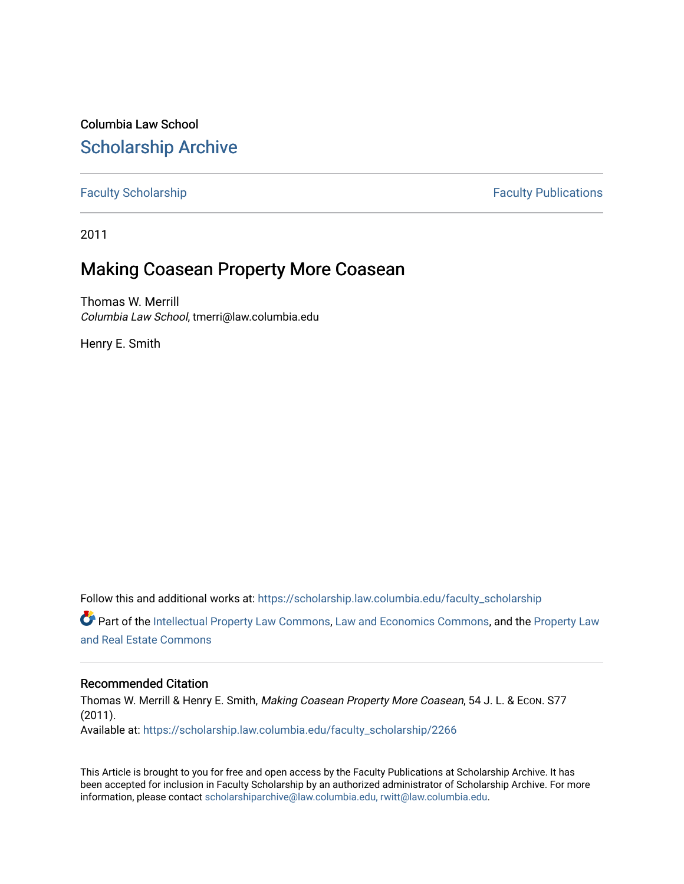Columbia Law School [Scholarship Archive](https://scholarship.law.columbia.edu/) 

[Faculty Scholarship](https://scholarship.law.columbia.edu/faculty_scholarship) **Faculty Scholarship Faculty Publications** 

2011

# Making Coasean Property More Coasean

Thomas W. Merrill Columbia Law School, tmerri@law.columbia.edu

Henry E. Smith

Follow this and additional works at: [https://scholarship.law.columbia.edu/faculty\\_scholarship](https://scholarship.law.columbia.edu/faculty_scholarship?utm_source=scholarship.law.columbia.edu%2Ffaculty_scholarship%2F2266&utm_medium=PDF&utm_campaign=PDFCoverPages)

Part of the [Intellectual Property Law Commons,](https://network.bepress.com/hgg/discipline/896?utm_source=scholarship.law.columbia.edu%2Ffaculty_scholarship%2F2266&utm_medium=PDF&utm_campaign=PDFCoverPages) [Law and Economics Commons](https://network.bepress.com/hgg/discipline/612?utm_source=scholarship.law.columbia.edu%2Ffaculty_scholarship%2F2266&utm_medium=PDF&utm_campaign=PDFCoverPages), and the [Property Law](https://network.bepress.com/hgg/discipline/897?utm_source=scholarship.law.columbia.edu%2Ffaculty_scholarship%2F2266&utm_medium=PDF&utm_campaign=PDFCoverPages)  [and Real Estate Commons](https://network.bepress.com/hgg/discipline/897?utm_source=scholarship.law.columbia.edu%2Ffaculty_scholarship%2F2266&utm_medium=PDF&utm_campaign=PDFCoverPages) 

## Recommended Citation

Thomas W. Merrill & Henry E. Smith, Making Coasean Property More Coasean, 54 J. L. & Econ. S77 (2011). Available at: [https://scholarship.law.columbia.edu/faculty\\_scholarship/2266](https://scholarship.law.columbia.edu/faculty_scholarship/2266?utm_source=scholarship.law.columbia.edu%2Ffaculty_scholarship%2F2266&utm_medium=PDF&utm_campaign=PDFCoverPages)

This Article is brought to you for free and open access by the Faculty Publications at Scholarship Archive. It has been accepted for inclusion in Faculty Scholarship by an authorized administrator of Scholarship Archive. For more information, please contact [scholarshiparchive@law.columbia.edu, rwitt@law.columbia.edu](mailto:scholarshiparchive@law.columbia.edu,%20rwitt@law.columbia.edu).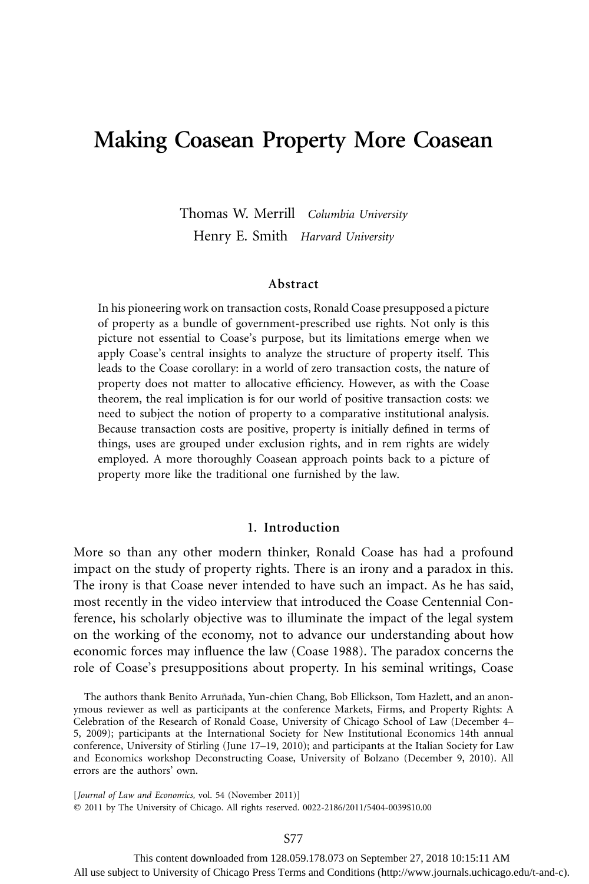## **Making Coasean Property More Coasean**

Thomas W. Merrill *Columbia University* Henry E. Smith *Harvard University*

## **Abstract**

In his pioneering work on transaction costs, Ronald Coase presupposed a picture of property as a bundle of government-prescribed use rights. Not only is this picture not essential to Coase's purpose, but its limitations emerge when we apply Coase's central insights to analyze the structure of property itself. This leads to the Coase corollary: in a world of zero transaction costs, the nature of property does not matter to allocative efficiency. However, as with the Coase theorem, the real implication is for our world of positive transaction costs: we need to subject the notion of property to a comparative institutional analysis. Because transaction costs are positive, property is initially defined in terms of things, uses are grouped under exclusion rights, and in rem rights are widely employed. A more thoroughly Coasean approach points back to a picture of property more like the traditional one furnished by the law.

### **1. Introduction**

More so than any other modern thinker, Ronald Coase has had a profound impact on the study of property rights. There is an irony and a paradox in this. The irony is that Coase never intended to have such an impact. As he has said, most recently in the video interview that introduced the Coase Centennial Conference, his scholarly objective was to illuminate the impact of the legal system on the working of the economy, not to advance our understanding about how economic forces may influence the law (Coase 1988). The paradox concerns the role of Coase's presuppositions about property. In his seminal writings, Coase

The authors thank Benito Arruñada, Yun-chien Chang, Bob Ellickson, Tom Hazlett, and an anonymous reviewer as well as participants at the conference Markets, Firms, and Property Rights: A Celebration of the Research of Ronald Coase, University of Chicago School of Law (December 4– 5, 2009); participants at the International Society for New Institutional Economics 14th annual conference, University of Stirling (June 17–19, 2010); and participants at the Italian Society for Law and Economics workshop Deconstructing Coase, University of Bolzano (December 9, 2010). All errors are the authors' own.

[*Journal of Law and Economics, vol.* 54 (November 2011)] © 2011 by The University of Chicago. All rights reserved. 0022-2186/2011/5404-0039\$10.00

S77

This content downloaded from 128.059.178.073 on September 27, 2018 10:15:11 AM All use subject to University of Chicago Press Terms and Conditions (http://www.journals.uchicago.edu/t-and-c).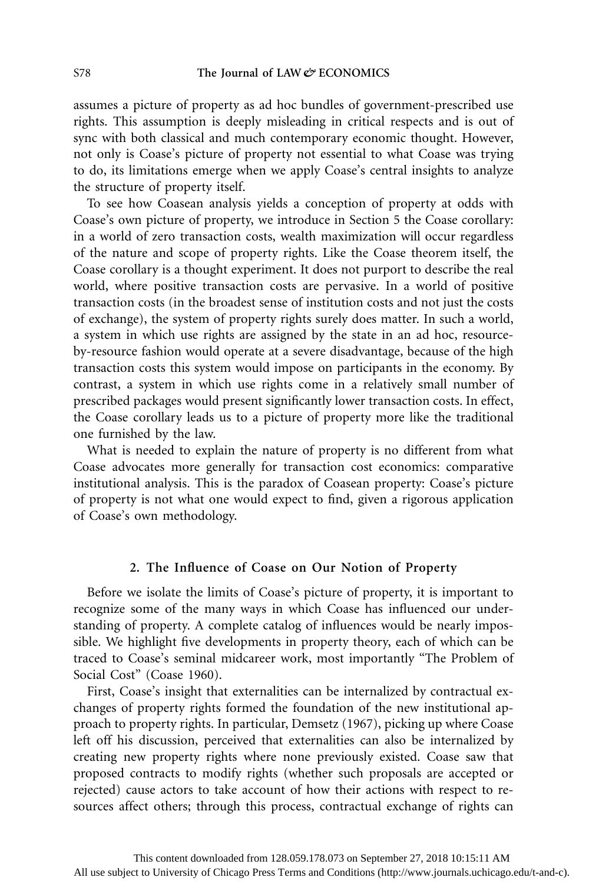assumes a picture of property as ad hoc bundles of government-prescribed use rights. This assumption is deeply misleading in critical respects and is out of sync with both classical and much contemporary economic thought. However, not only is Coase's picture of property not essential to what Coase was trying to do, its limitations emerge when we apply Coase's central insights to analyze the structure of property itself.

To see how Coasean analysis yields a conception of property at odds with Coase's own picture of property, we introduce in Section 5 the Coase corollary: in a world of zero transaction costs, wealth maximization will occur regardless of the nature and scope of property rights. Like the Coase theorem itself, the Coase corollary is a thought experiment. It does not purport to describe the real world, where positive transaction costs are pervasive. In a world of positive transaction costs (in the broadest sense of institution costs and not just the costs of exchange), the system of property rights surely does matter. In such a world, a system in which use rights are assigned by the state in an ad hoc, resourceby-resource fashion would operate at a severe disadvantage, because of the high transaction costs this system would impose on participants in the economy. By contrast, a system in which use rights come in a relatively small number of prescribed packages would present significantly lower transaction costs. In effect, the Coase corollary leads us to a picture of property more like the traditional one furnished by the law.

What is needed to explain the nature of property is no different from what Coase advocates more generally for transaction cost economics: comparative institutional analysis. This is the paradox of Coasean property: Coase's picture of property is not what one would expect to find, given a rigorous application of Coase's own methodology.

#### **2. The Influence of Coase on Our Notion of Property**

Before we isolate the limits of Coase's picture of property, it is important to recognize some of the many ways in which Coase has influenced our understanding of property. A complete catalog of influences would be nearly impossible. We highlight five developments in property theory, each of which can be traced to Coase's seminal midcareer work, most importantly "The Problem of Social Cost" (Coase 1960).

First, Coase's insight that externalities can be internalized by contractual exchanges of property rights formed the foundation of the new institutional approach to property rights. In particular, Demsetz (1967), picking up where Coase left off his discussion, perceived that externalities can also be internalized by creating new property rights where none previously existed. Coase saw that proposed contracts to modify rights (whether such proposals are accepted or rejected) cause actors to take account of how their actions with respect to resources affect others; through this process, contractual exchange of rights can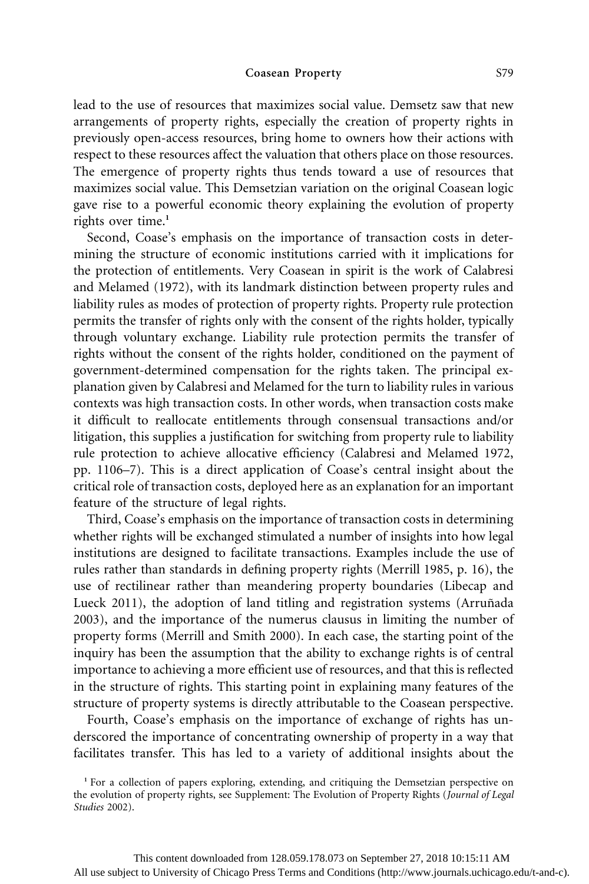lead to the use of resources that maximizes social value. Demsetz saw that new arrangements of property rights, especially the creation of property rights in previously open-access resources, bring home to owners how their actions with respect to these resources affect the valuation that others place on those resources. The emergence of property rights thus tends toward a use of resources that maximizes social value. This Demsetzian variation on the original Coasean logic gave rise to a powerful economic theory explaining the evolution of property rights over time.**<sup>1</sup>**

Second, Coase's emphasis on the importance of transaction costs in determining the structure of economic institutions carried with it implications for the protection of entitlements. Very Coasean in spirit is the work of Calabresi and Melamed (1972), with its landmark distinction between property rules and liability rules as modes of protection of property rights. Property rule protection permits the transfer of rights only with the consent of the rights holder, typically through voluntary exchange. Liability rule protection permits the transfer of rights without the consent of the rights holder, conditioned on the payment of government-determined compensation for the rights taken. The principal explanation given by Calabresi and Melamed for the turn to liability rules in various contexts was high transaction costs. In other words, when transaction costs make it difficult to reallocate entitlements through consensual transactions and/or litigation, this supplies a justification for switching from property rule to liability rule protection to achieve allocative efficiency (Calabresi and Melamed 1972, pp. 1106–7). This is a direct application of Coase's central insight about the critical role of transaction costs, deployed here as an explanation for an important feature of the structure of legal rights.

Third, Coase's emphasis on the importance of transaction costs in determining whether rights will be exchanged stimulated a number of insights into how legal institutions are designed to facilitate transactions. Examples include the use of rules rather than standards in defining property rights (Merrill 1985, p. 16), the use of rectilinear rather than meandering property boundaries (Libecap and Lueck 2011), the adoption of land titling and registration systems (Arruñada 2003), and the importance of the numerus clausus in limiting the number of property forms (Merrill and Smith 2000). In each case, the starting point of the inquiry has been the assumption that the ability to exchange rights is of central importance to achieving a more efficient use of resources, and that this is reflected in the structure of rights. This starting point in explaining many features of the structure of property systems is directly attributable to the Coasean perspective.

Fourth, Coase's emphasis on the importance of exchange of rights has underscored the importance of concentrating ownership of property in a way that facilitates transfer. This has led to a variety of additional insights about the

<sup>&</sup>lt;sup>1</sup> For a collection of papers exploring, extending, and critiquing the Demsetzian perspective on the evolution of property rights, see Supplement: The Evolution of Property Rights (*Journal of Legal Studies* 2002).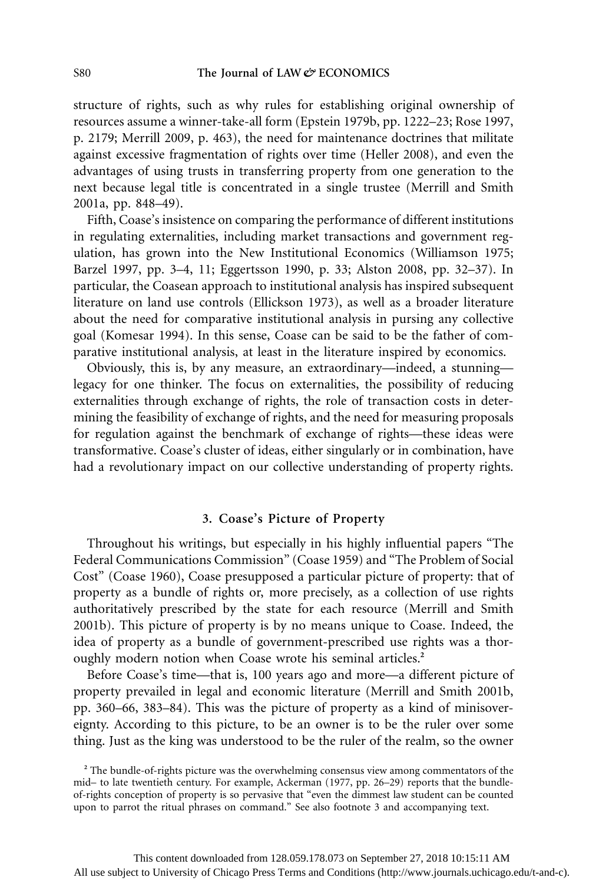structure of rights, such as why rules for establishing original ownership of resources assume a winner-take-all form (Epstein 1979b, pp. 1222–23; Rose 1997, p. 2179; Merrill 2009, p. 463), the need for maintenance doctrines that militate against excessive fragmentation of rights over time (Heller 2008), and even the advantages of using trusts in transferring property from one generation to the next because legal title is concentrated in a single trustee (Merrill and Smith 2001a, pp. 848–49).

Fifth, Coase's insistence on comparing the performance of different institutions in regulating externalities, including market transactions and government regulation, has grown into the New Institutional Economics (Williamson 1975; Barzel 1997, pp. 3–4, 11; Eggertsson 1990, p. 33; Alston 2008, pp. 32–37). In particular, the Coasean approach to institutional analysis has inspired subsequent literature on land use controls (Ellickson 1973), as well as a broader literature about the need for comparative institutional analysis in pursing any collective goal (Komesar 1994). In this sense, Coase can be said to be the father of comparative institutional analysis, at least in the literature inspired by economics.

Obviously, this is, by any measure, an extraordinary—indeed, a stunning legacy for one thinker. The focus on externalities, the possibility of reducing externalities through exchange of rights, the role of transaction costs in determining the feasibility of exchange of rights, and the need for measuring proposals for regulation against the benchmark of exchange of rights—these ideas were transformative. Coase's cluster of ideas, either singularly or in combination, have had a revolutionary impact on our collective understanding of property rights.

## **3. Coase's Picture of Property**

Throughout his writings, but especially in his highly influential papers "The Federal Communications Commission" (Coase 1959) and "The Problem of Social Cost" (Coase 1960), Coase presupposed a particular picture of property: that of property as a bundle of rights or, more precisely, as a collection of use rights authoritatively prescribed by the state for each resource (Merrill and Smith 2001b). This picture of property is by no means unique to Coase. Indeed, the idea of property as a bundle of government-prescribed use rights was a thoroughly modern notion when Coase wrote his seminal articles.**<sup>2</sup>**

Before Coase's time—that is, 100 years ago and more—a different picture of property prevailed in legal and economic literature (Merrill and Smith 2001b, pp. 360–66, 383–84). This was the picture of property as a kind of minisovereignty. According to this picture, to be an owner is to be the ruler over some thing. Just as the king was understood to be the ruler of the realm, so the owner

<sup>&</sup>lt;sup>2</sup> The bundle-of-rights picture was the overwhelming consensus view among commentators of the mid– to late twentieth century. For example, Ackerman (1977, pp. 26–29) reports that the bundleof-rights conception of property is so pervasive that "even the dimmest law student can be counted upon to parrot the ritual phrases on command." See also footnote 3 and accompanying text.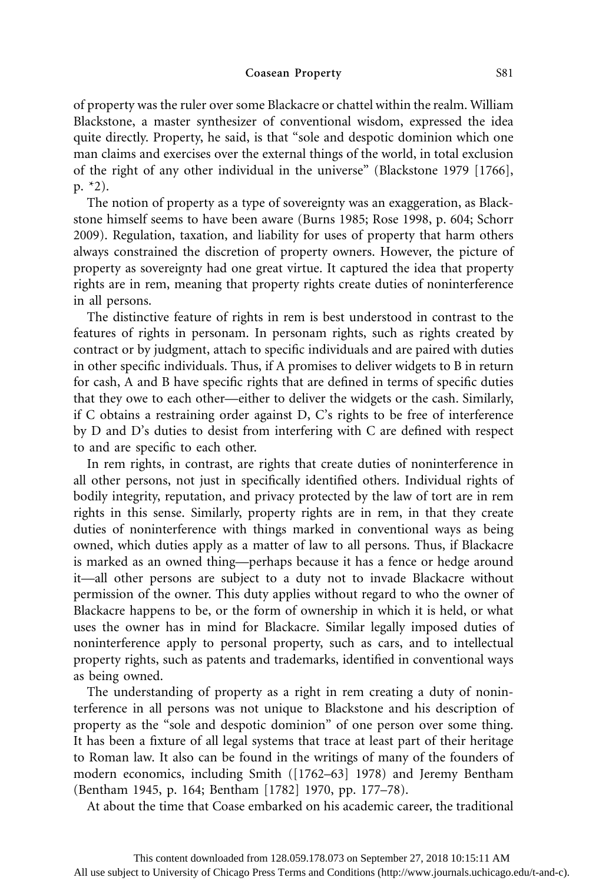#### Coasean Property S81

of property was the ruler over some Blackacre or chattel within the realm. William Blackstone, a master synthesizer of conventional wisdom, expressed the idea quite directly. Property, he said, is that "sole and despotic dominion which one man claims and exercises over the external things of the world, in total exclusion of the right of any other individual in the universe" (Blackstone 1979 [1766], p. \*2).

The notion of property as a type of sovereignty was an exaggeration, as Blackstone himself seems to have been aware (Burns 1985; Rose 1998, p. 604; Schorr 2009). Regulation, taxation, and liability for uses of property that harm others always constrained the discretion of property owners. However, the picture of property as sovereignty had one great virtue. It captured the idea that property rights are in rem, meaning that property rights create duties of noninterference in all persons.

The distinctive feature of rights in rem is best understood in contrast to the features of rights in personam. In personam rights, such as rights created by contract or by judgment, attach to specific individuals and are paired with duties in other specific individuals. Thus, if A promises to deliver widgets to B in return for cash, A and B have specific rights that are defined in terms of specific duties that they owe to each other—either to deliver the widgets or the cash. Similarly, if C obtains a restraining order against D, C's rights to be free of interference by D and D's duties to desist from interfering with C are defined with respect to and are specific to each other.

In rem rights, in contrast, are rights that create duties of noninterference in all other persons, not just in specifically identified others. Individual rights of bodily integrity, reputation, and privacy protected by the law of tort are in rem rights in this sense. Similarly, property rights are in rem, in that they create duties of noninterference with things marked in conventional ways as being owned, which duties apply as a matter of law to all persons. Thus, if Blackacre is marked as an owned thing—perhaps because it has a fence or hedge around it—all other persons are subject to a duty not to invade Blackacre without permission of the owner. This duty applies without regard to who the owner of Blackacre happens to be, or the form of ownership in which it is held, or what uses the owner has in mind for Blackacre. Similar legally imposed duties of noninterference apply to personal property, such as cars, and to intellectual property rights, such as patents and trademarks, identified in conventional ways as being owned.

The understanding of property as a right in rem creating a duty of noninterference in all persons was not unique to Blackstone and his description of property as the "sole and despotic dominion" of one person over some thing. It has been a fixture of all legal systems that trace at least part of their heritage to Roman law. It also can be found in the writings of many of the founders of modern economics, including Smith ([1762–63] 1978) and Jeremy Bentham (Bentham 1945, p. 164; Bentham [1782] 1970, pp. 177–78).

At about the time that Coase embarked on his academic career, the traditional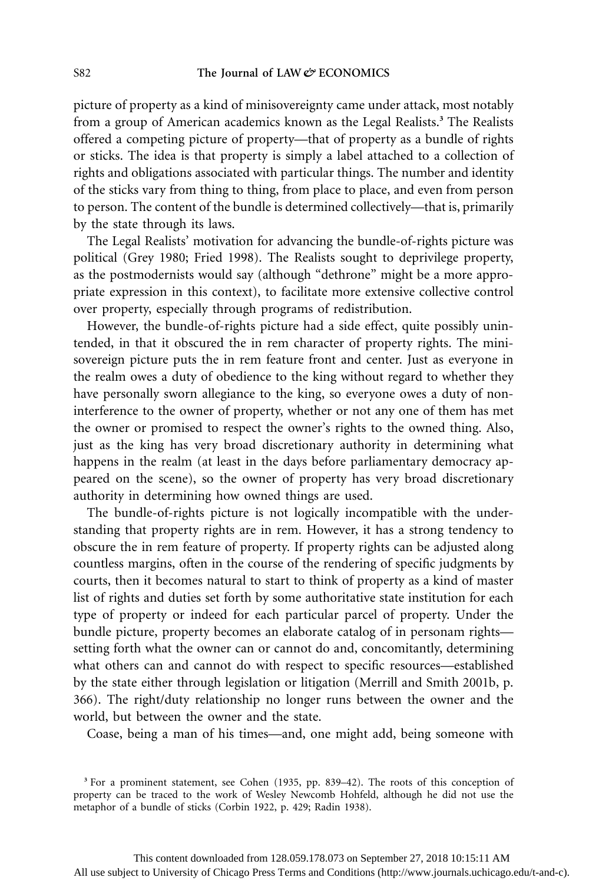picture of property as a kind of minisovereignty came under attack, most notably from a group of American academics known as the Legal Realists.**<sup>3</sup>** The Realists offered a competing picture of property—that of property as a bundle of rights or sticks. The idea is that property is simply a label attached to a collection of rights and obligations associated with particular things. The number and identity of the sticks vary from thing to thing, from place to place, and even from person to person. The content of the bundle is determined collectively—that is, primarily by the state through its laws.

The Legal Realists' motivation for advancing the bundle-of-rights picture was political (Grey 1980; Fried 1998). The Realists sought to deprivilege property, as the postmodernists would say (although "dethrone" might be a more appropriate expression in this context), to facilitate more extensive collective control over property, especially through programs of redistribution.

However, the bundle-of-rights picture had a side effect, quite possibly unintended, in that it obscured the in rem character of property rights. The minisovereign picture puts the in rem feature front and center. Just as everyone in the realm owes a duty of obedience to the king without regard to whether they have personally sworn allegiance to the king, so everyone owes a duty of noninterference to the owner of property, whether or not any one of them has met the owner or promised to respect the owner's rights to the owned thing. Also, just as the king has very broad discretionary authority in determining what happens in the realm (at least in the days before parliamentary democracy appeared on the scene), so the owner of property has very broad discretionary authority in determining how owned things are used.

The bundle-of-rights picture is not logically incompatible with the understanding that property rights are in rem. However, it has a strong tendency to obscure the in rem feature of property. If property rights can be adjusted along countless margins, often in the course of the rendering of specific judgments by courts, then it becomes natural to start to think of property as a kind of master list of rights and duties set forth by some authoritative state institution for each type of property or indeed for each particular parcel of property. Under the bundle picture, property becomes an elaborate catalog of in personam rights setting forth what the owner can or cannot do and, concomitantly, determining what others can and cannot do with respect to specific resources—established by the state either through legislation or litigation (Merrill and Smith 2001b, p. 366). The right/duty relationship no longer runs between the owner and the world, but between the owner and the state.

Coase, being a man of his times—and, one might add, being someone with

**<sup>3</sup>** For a prominent statement, see Cohen (1935, pp. 839–42). The roots of this conception of property can be traced to the work of Wesley Newcomb Hohfeld, although he did not use the metaphor of a bundle of sticks (Corbin 1922, p. 429; Radin 1938).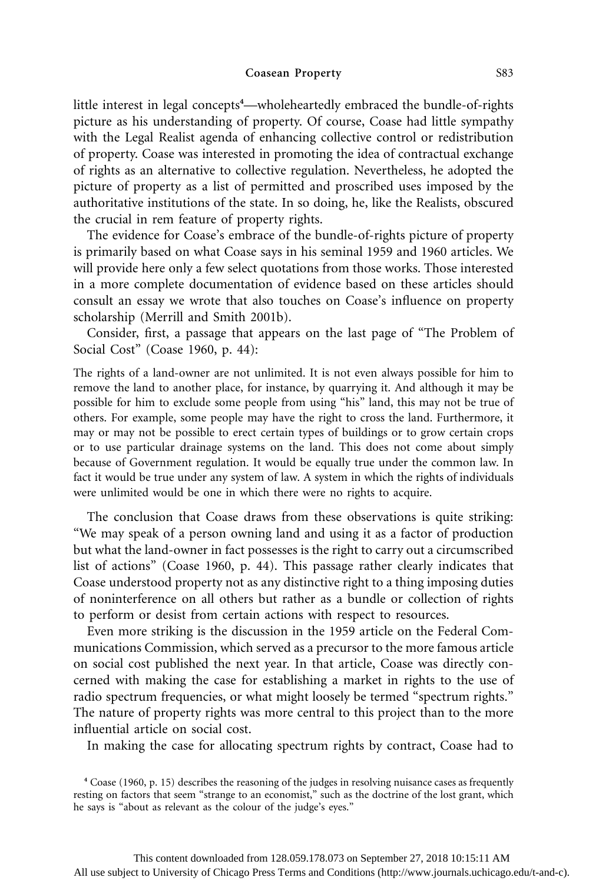little interest in legal concepts**<sup>4</sup>** —wholeheartedly embraced the bundle-of-rights picture as his understanding of property. Of course, Coase had little sympathy with the Legal Realist agenda of enhancing collective control or redistribution of property. Coase was interested in promoting the idea of contractual exchange of rights as an alternative to collective regulation. Nevertheless, he adopted the picture of property as a list of permitted and proscribed uses imposed by the authoritative institutions of the state. In so doing, he, like the Realists, obscured the crucial in rem feature of property rights.

The evidence for Coase's embrace of the bundle-of-rights picture of property is primarily based on what Coase says in his seminal 1959 and 1960 articles. We will provide here only a few select quotations from those works. Those interested in a more complete documentation of evidence based on these articles should consult an essay we wrote that also touches on Coase's influence on property scholarship (Merrill and Smith 2001b).

Consider, first, a passage that appears on the last page of "The Problem of Social Cost" (Coase 1960, p. 44):

The rights of a land-owner are not unlimited. It is not even always possible for him to remove the land to another place, for instance, by quarrying it. And although it may be possible for him to exclude some people from using "his" land, this may not be true of others. For example, some people may have the right to cross the land. Furthermore, it may or may not be possible to erect certain types of buildings or to grow certain crops or to use particular drainage systems on the land. This does not come about simply because of Government regulation. It would be equally true under the common law. In fact it would be true under any system of law. A system in which the rights of individuals were unlimited would be one in which there were no rights to acquire.

The conclusion that Coase draws from these observations is quite striking: "We may speak of a person owning land and using it as a factor of production but what the land-owner in fact possesses is the right to carry out a circumscribed list of actions" (Coase 1960, p. 44). This passage rather clearly indicates that Coase understood property not as any distinctive right to a thing imposing duties of noninterference on all others but rather as a bundle or collection of rights to perform or desist from certain actions with respect to resources.

Even more striking is the discussion in the 1959 article on the Federal Communications Commission, which served as a precursor to the more famous article on social cost published the next year. In that article, Coase was directly concerned with making the case for establishing a market in rights to the use of radio spectrum frequencies, or what might loosely be termed "spectrum rights." The nature of property rights was more central to this project than to the more influential article on social cost.

In making the case for allocating spectrum rights by contract, Coase had to

**<sup>4</sup>** Coase (1960, p. 15) describes the reasoning of the judges in resolving nuisance cases as frequently resting on factors that seem "strange to an economist," such as the doctrine of the lost grant, which he says is "about as relevant as the colour of the judge's eyes."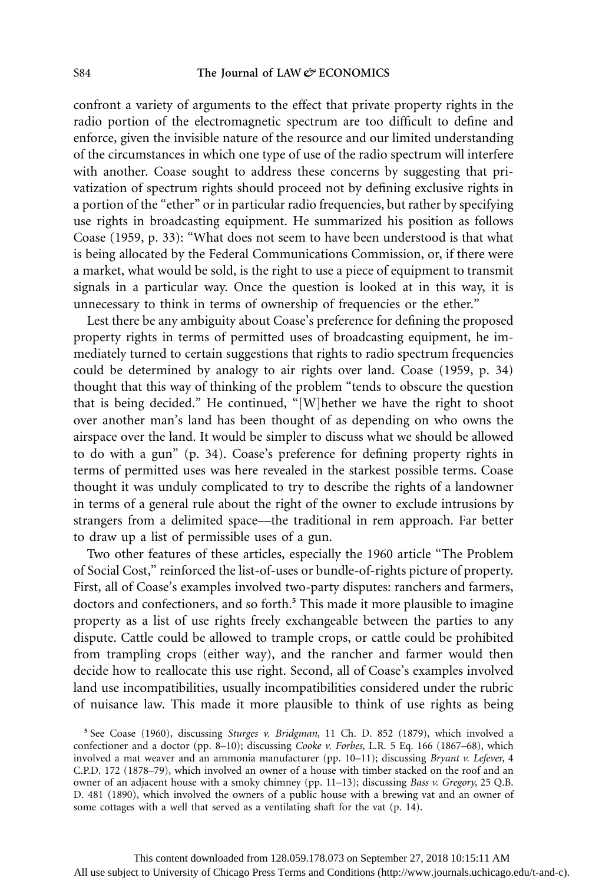confront a variety of arguments to the effect that private property rights in the radio portion of the electromagnetic spectrum are too difficult to define and enforce, given the invisible nature of the resource and our limited understanding of the circumstances in which one type of use of the radio spectrum will interfere with another. Coase sought to address these concerns by suggesting that privatization of spectrum rights should proceed not by defining exclusive rights in a portion of the "ether" or in particular radio frequencies, but rather by specifying use rights in broadcasting equipment. He summarized his position as follows Coase (1959, p. 33): "What does not seem to have been understood is that what is being allocated by the Federal Communications Commission, or, if there were a market, what would be sold, is the right to use a piece of equipment to transmit signals in a particular way. Once the question is looked at in this way, it is unnecessary to think in terms of ownership of frequencies or the ether."

Lest there be any ambiguity about Coase's preference for defining the proposed property rights in terms of permitted uses of broadcasting equipment, he immediately turned to certain suggestions that rights to radio spectrum frequencies could be determined by analogy to air rights over land. Coase (1959, p. 34) thought that this way of thinking of the problem "tends to obscure the question that is being decided." He continued, "[W]hether we have the right to shoot over another man's land has been thought of as depending on who owns the airspace over the land. It would be simpler to discuss what we should be allowed to do with a gun" (p. 34). Coase's preference for defining property rights in terms of permitted uses was here revealed in the starkest possible terms. Coase thought it was unduly complicated to try to describe the rights of a landowner in terms of a general rule about the right of the owner to exclude intrusions by strangers from a delimited space—the traditional in rem approach. Far better to draw up a list of permissible uses of a gun.

Two other features of these articles, especially the 1960 article "The Problem of Social Cost," reinforced the list-of-uses or bundle-of-rights picture of property. First, all of Coase's examples involved two-party disputes: ranchers and farmers, doctors and confectioners, and so forth.**<sup>5</sup>** This made it more plausible to imagine property as a list of use rights freely exchangeable between the parties to any dispute. Cattle could be allowed to trample crops, or cattle could be prohibited from trampling crops (either way), and the rancher and farmer would then decide how to reallocate this use right. Second, all of Coase's examples involved land use incompatibilities, usually incompatibilities considered under the rubric of nuisance law. This made it more plausible to think of use rights as being

**<sup>5</sup>** See Coase (1960), discussing *Sturges v. Bridgman,* 11 Ch. D. 852 (1879), which involved a confectioner and a doctor (pp. 8–10); discussing *Cooke v. Forbes,* L.R. 5 Eq. 166 (1867–68), which involved a mat weaver and an ammonia manufacturer (pp. 10–11); discussing *Bryant v. Lefever,* 4 C.P.D. 172 (1878–79), which involved an owner of a house with timber stacked on the roof and an owner of an adjacent house with a smoky chimney (pp. 11–13); discussing *Bass v. Gregory,* 25 Q.B. D. 481 (1890), which involved the owners of a public house with a brewing vat and an owner of some cottages with a well that served as a ventilating shaft for the vat (p. 14).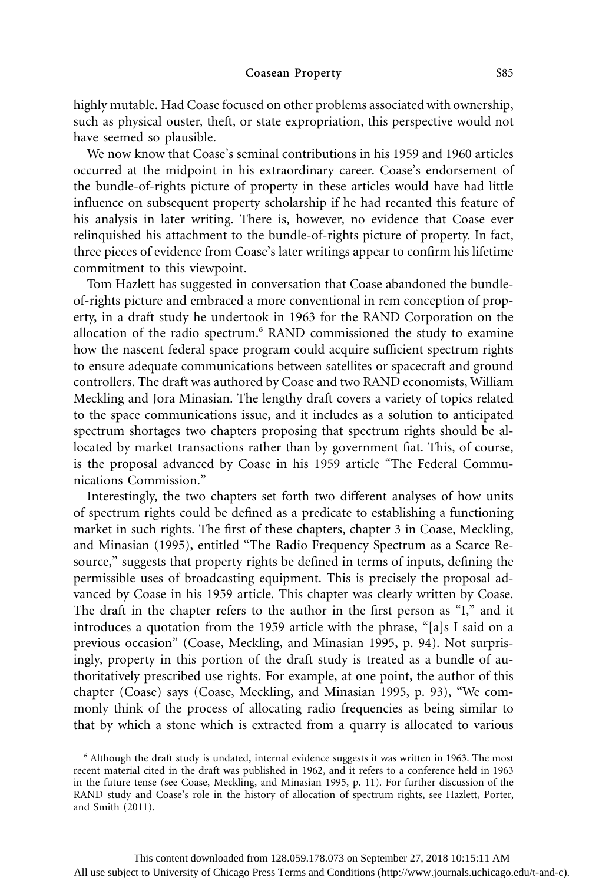highly mutable. Had Coase focused on other problems associated with ownership, such as physical ouster, theft, or state expropriation, this perspective would not have seemed so plausible.

We now know that Coase's seminal contributions in his 1959 and 1960 articles occurred at the midpoint in his extraordinary career. Coase's endorsement of the bundle-of-rights picture of property in these articles would have had little influence on subsequent property scholarship if he had recanted this feature of his analysis in later writing. There is, however, no evidence that Coase ever relinquished his attachment to the bundle-of-rights picture of property. In fact, three pieces of evidence from Coase's later writings appear to confirm his lifetime commitment to this viewpoint.

Tom Hazlett has suggested in conversation that Coase abandoned the bundleof-rights picture and embraced a more conventional in rem conception of property, in a draft study he undertook in 1963 for the RAND Corporation on the allocation of the radio spectrum.**<sup>6</sup>** RAND commissioned the study to examine how the nascent federal space program could acquire sufficient spectrum rights to ensure adequate communications between satellites or spacecraft and ground controllers. The draft was authored by Coase and two RAND economists, William Meckling and Jora Minasian. The lengthy draft covers a variety of topics related to the space communications issue, and it includes as a solution to anticipated spectrum shortages two chapters proposing that spectrum rights should be allocated by market transactions rather than by government fiat. This, of course, is the proposal advanced by Coase in his 1959 article "The Federal Communications Commission."

Interestingly, the two chapters set forth two different analyses of how units of spectrum rights could be defined as a predicate to establishing a functioning market in such rights. The first of these chapters, chapter 3 in Coase, Meckling, and Minasian (1995), entitled "The Radio Frequency Spectrum as a Scarce Resource," suggests that property rights be defined in terms of inputs, defining the permissible uses of broadcasting equipment. This is precisely the proposal advanced by Coase in his 1959 article. This chapter was clearly written by Coase. The draft in the chapter refers to the author in the first person as "I," and it introduces a quotation from the 1959 article with the phrase, "[a]s I said on a previous occasion" (Coase, Meckling, and Minasian 1995, p. 94). Not surprisingly, property in this portion of the draft study is treated as a bundle of authoritatively prescribed use rights. For example, at one point, the author of this chapter (Coase) says (Coase, Meckling, and Minasian 1995, p. 93), "We commonly think of the process of allocating radio frequencies as being similar to that by which a stone which is extracted from a quarry is allocated to various

**<sup>6</sup>** Although the draft study is undated, internal evidence suggests it was written in 1963. The most recent material cited in the draft was published in 1962, and it refers to a conference held in 1963 in the future tense (see Coase, Meckling, and Minasian 1995, p. 11). For further discussion of the RAND study and Coase's role in the history of allocation of spectrum rights, see Hazlett, Porter, and Smith (2011).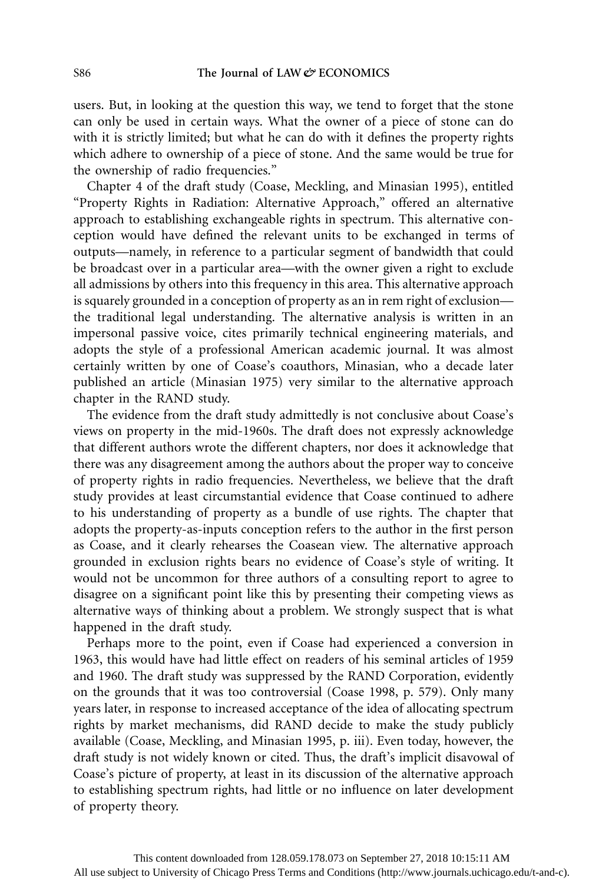users. But, in looking at the question this way, we tend to forget that the stone can only be used in certain ways. What the owner of a piece of stone can do with it is strictly limited; but what he can do with it defines the property rights which adhere to ownership of a piece of stone. And the same would be true for the ownership of radio frequencies."

Chapter 4 of the draft study (Coase, Meckling, and Minasian 1995), entitled "Property Rights in Radiation: Alternative Approach," offered an alternative approach to establishing exchangeable rights in spectrum. This alternative conception would have defined the relevant units to be exchanged in terms of outputs—namely, in reference to a particular segment of bandwidth that could be broadcast over in a particular area—with the owner given a right to exclude all admissions by others into this frequency in this area. This alternative approach is squarely grounded in a conception of property as an in rem right of exclusion the traditional legal understanding. The alternative analysis is written in an impersonal passive voice, cites primarily technical engineering materials, and adopts the style of a professional American academic journal. It was almost certainly written by one of Coase's coauthors, Minasian, who a decade later published an article (Minasian 1975) very similar to the alternative approach chapter in the RAND study.

The evidence from the draft study admittedly is not conclusive about Coase's views on property in the mid-1960s. The draft does not expressly acknowledge that different authors wrote the different chapters, nor does it acknowledge that there was any disagreement among the authors about the proper way to conceive of property rights in radio frequencies. Nevertheless, we believe that the draft study provides at least circumstantial evidence that Coase continued to adhere to his understanding of property as a bundle of use rights. The chapter that adopts the property-as-inputs conception refers to the author in the first person as Coase, and it clearly rehearses the Coasean view. The alternative approach grounded in exclusion rights bears no evidence of Coase's style of writing. It would not be uncommon for three authors of a consulting report to agree to disagree on a significant point like this by presenting their competing views as alternative ways of thinking about a problem. We strongly suspect that is what happened in the draft study.

Perhaps more to the point, even if Coase had experienced a conversion in 1963, this would have had little effect on readers of his seminal articles of 1959 and 1960. The draft study was suppressed by the RAND Corporation, evidently on the grounds that it was too controversial (Coase 1998, p. 579). Only many years later, in response to increased acceptance of the idea of allocating spectrum rights by market mechanisms, did RAND decide to make the study publicly available (Coase, Meckling, and Minasian 1995, p. iii). Even today, however, the draft study is not widely known or cited. Thus, the draft's implicit disavowal of Coase's picture of property, at least in its discussion of the alternative approach to establishing spectrum rights, had little or no influence on later development of property theory.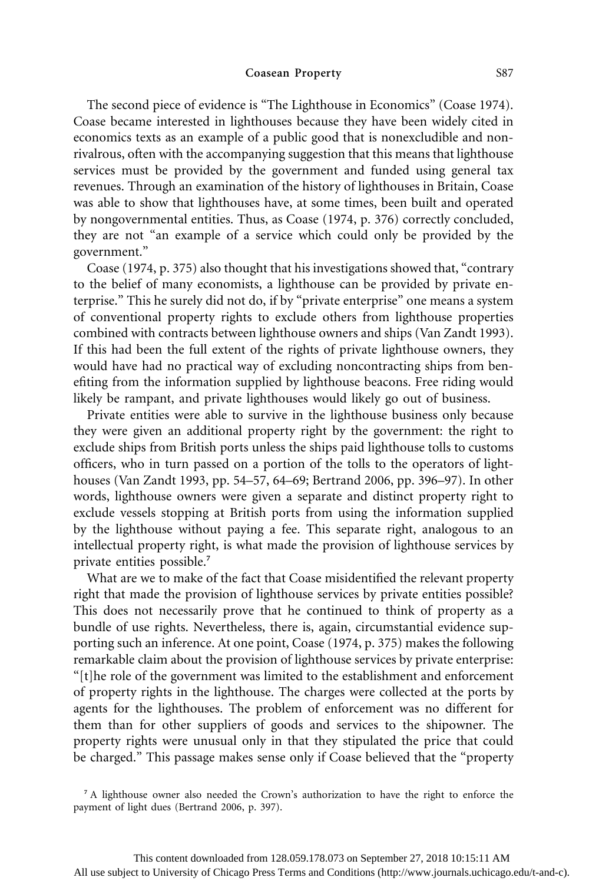#### Coasean Property S87

The second piece of evidence is "The Lighthouse in Economics" (Coase 1974). Coase became interested in lighthouses because they have been widely cited in economics texts as an example of a public good that is nonexcludible and nonrivalrous, often with the accompanying suggestion that this means that lighthouse services must be provided by the government and funded using general tax revenues. Through an examination of the history of lighthouses in Britain, Coase was able to show that lighthouses have, at some times, been built and operated by nongovernmental entities. Thus, as Coase (1974, p. 376) correctly concluded, they are not "an example of a service which could only be provided by the government."

Coase (1974, p. 375) also thought that his investigations showed that, "contrary to the belief of many economists, a lighthouse can be provided by private enterprise." This he surely did not do, if by "private enterprise" one means a system of conventional property rights to exclude others from lighthouse properties combined with contracts between lighthouse owners and ships (Van Zandt 1993). If this had been the full extent of the rights of private lighthouse owners, they would have had no practical way of excluding noncontracting ships from benefiting from the information supplied by lighthouse beacons. Free riding would likely be rampant, and private lighthouses would likely go out of business.

Private entities were able to survive in the lighthouse business only because they were given an additional property right by the government: the right to exclude ships from British ports unless the ships paid lighthouse tolls to customs officers, who in turn passed on a portion of the tolls to the operators of lighthouses (Van Zandt 1993, pp. 54–57, 64–69; Bertrand 2006, pp. 396–97). In other words, lighthouse owners were given a separate and distinct property right to exclude vessels stopping at British ports from using the information supplied by the lighthouse without paying a fee. This separate right, analogous to an intellectual property right, is what made the provision of lighthouse services by private entities possible.**<sup>7</sup>**

What are we to make of the fact that Coase misidentified the relevant property right that made the provision of lighthouse services by private entities possible? This does not necessarily prove that he continued to think of property as a bundle of use rights. Nevertheless, there is, again, circumstantial evidence supporting such an inference. At one point, Coase (1974, p. 375) makes the following remarkable claim about the provision of lighthouse services by private enterprise: "[t]he role of the government was limited to the establishment and enforcement of property rights in the lighthouse. The charges were collected at the ports by agents for the lighthouses. The problem of enforcement was no different for them than for other suppliers of goods and services to the shipowner. The property rights were unusual only in that they stipulated the price that could be charged." This passage makes sense only if Coase believed that the "property

**<sup>7</sup>** A lighthouse owner also needed the Crown's authorization to have the right to enforce the payment of light dues (Bertrand 2006, p. 397).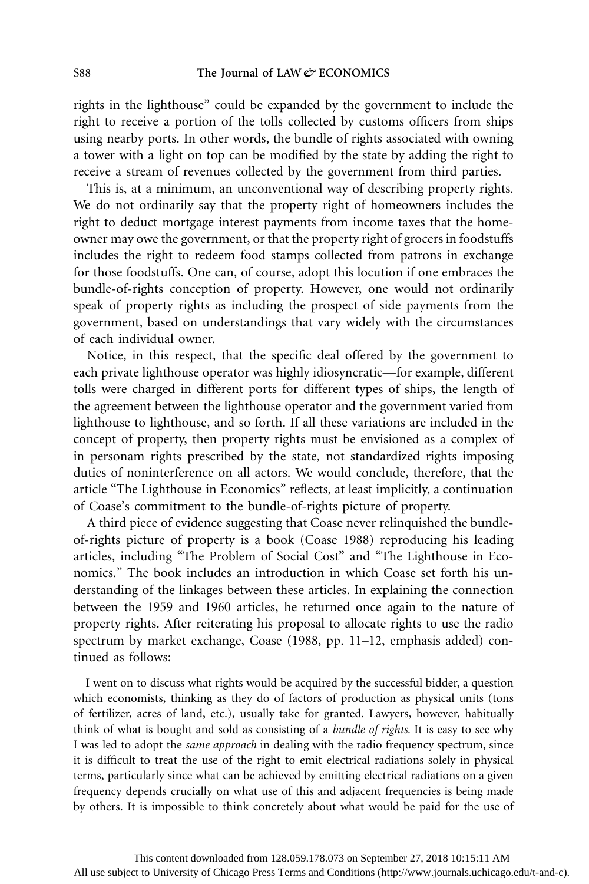rights in the lighthouse" could be expanded by the government to include the right to receive a portion of the tolls collected by customs officers from ships using nearby ports. In other words, the bundle of rights associated with owning a tower with a light on top can be modified by the state by adding the right to receive a stream of revenues collected by the government from third parties.

This is, at a minimum, an unconventional way of describing property rights. We do not ordinarily say that the property right of homeowners includes the right to deduct mortgage interest payments from income taxes that the homeowner may owe the government, or that the property right of grocers in foodstuffs includes the right to redeem food stamps collected from patrons in exchange for those foodstuffs. One can, of course, adopt this locution if one embraces the bundle-of-rights conception of property. However, one would not ordinarily speak of property rights as including the prospect of side payments from the government, based on understandings that vary widely with the circumstances of each individual owner.

Notice, in this respect, that the specific deal offered by the government to each private lighthouse operator was highly idiosyncratic—for example, different tolls were charged in different ports for different types of ships, the length of the agreement between the lighthouse operator and the government varied from lighthouse to lighthouse, and so forth. If all these variations are included in the concept of property, then property rights must be envisioned as a complex of in personam rights prescribed by the state, not standardized rights imposing duties of noninterference on all actors. We would conclude, therefore, that the article "The Lighthouse in Economics" reflects, at least implicitly, a continuation of Coase's commitment to the bundle-of-rights picture of property.

A third piece of evidence suggesting that Coase never relinquished the bundleof-rights picture of property is a book (Coase 1988) reproducing his leading articles, including "The Problem of Social Cost" and "The Lighthouse in Economics." The book includes an introduction in which Coase set forth his understanding of the linkages between these articles. In explaining the connection between the 1959 and 1960 articles, he returned once again to the nature of property rights. After reiterating his proposal to allocate rights to use the radio spectrum by market exchange, Coase (1988, pp. 11–12, emphasis added) continued as follows:

I went on to discuss what rights would be acquired by the successful bidder, a question which economists, thinking as they do of factors of production as physical units (tons of fertilizer, acres of land, etc.), usually take for granted. Lawyers, however, habitually think of what is bought and sold as consisting of a *bundle of rights.* It is easy to see why I was led to adopt the *same approach* in dealing with the radio frequency spectrum, since it is difficult to treat the use of the right to emit electrical radiations solely in physical terms, particularly since what can be achieved by emitting electrical radiations on a given frequency depends crucially on what use of this and adjacent frequencies is being made by others. It is impossible to think concretely about what would be paid for the use of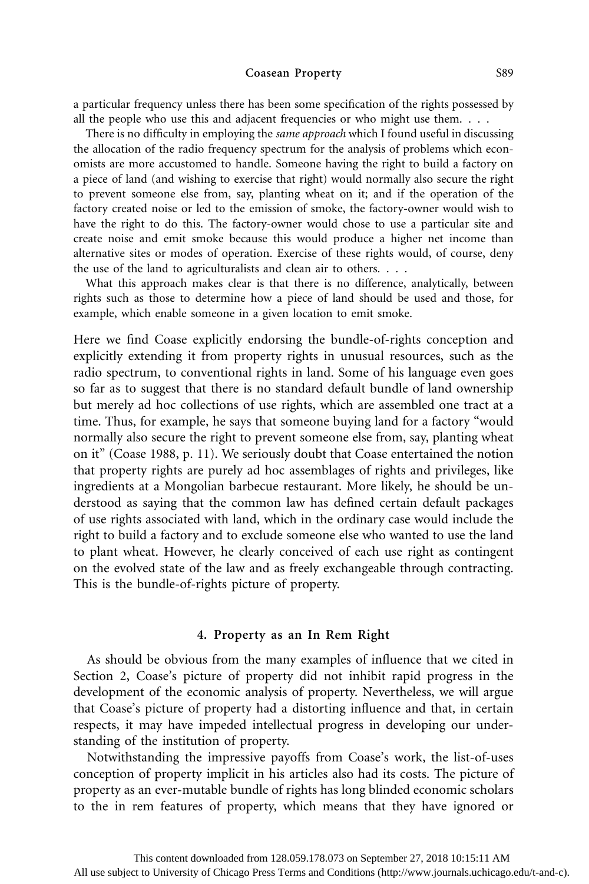#### Coasean Property S89

a particular frequency unless there has been some specification of the rights possessed by all the people who use this and adjacent frequencies or who might use them. . . .

There is no difficulty in employing the *same approach* which I found useful in discussing the allocation of the radio frequency spectrum for the analysis of problems which economists are more accustomed to handle. Someone having the right to build a factory on a piece of land (and wishing to exercise that right) would normally also secure the right to prevent someone else from, say, planting wheat on it; and if the operation of the factory created noise or led to the emission of smoke, the factory-owner would wish to have the right to do this. The factory-owner would chose to use a particular site and create noise and emit smoke because this would produce a higher net income than alternative sites or modes of operation. Exercise of these rights would, of course, deny the use of the land to agriculturalists and clean air to others. . . .

What this approach makes clear is that there is no difference, analytically, between rights such as those to determine how a piece of land should be used and those, for example, which enable someone in a given location to emit smoke.

Here we find Coase explicitly endorsing the bundle-of-rights conception and explicitly extending it from property rights in unusual resources, such as the radio spectrum, to conventional rights in land. Some of his language even goes so far as to suggest that there is no standard default bundle of land ownership but merely ad hoc collections of use rights, which are assembled one tract at a time. Thus, for example, he says that someone buying land for a factory "would normally also secure the right to prevent someone else from, say, planting wheat on it" (Coase 1988, p. 11). We seriously doubt that Coase entertained the notion that property rights are purely ad hoc assemblages of rights and privileges, like ingredients at a Mongolian barbecue restaurant. More likely, he should be understood as saying that the common law has defined certain default packages of use rights associated with land, which in the ordinary case would include the right to build a factory and to exclude someone else who wanted to use the land to plant wheat. However, he clearly conceived of each use right as contingent on the evolved state of the law and as freely exchangeable through contracting. This is the bundle-of-rights picture of property.

## **4. Property as an In Rem Right**

As should be obvious from the many examples of influence that we cited in Section 2, Coase's picture of property did not inhibit rapid progress in the development of the economic analysis of property. Nevertheless, we will argue that Coase's picture of property had a distorting influence and that, in certain respects, it may have impeded intellectual progress in developing our understanding of the institution of property.

Notwithstanding the impressive payoffs from Coase's work, the list-of-uses conception of property implicit in his articles also had its costs. The picture of property as an ever-mutable bundle of rights has long blinded economic scholars to the in rem features of property, which means that they have ignored or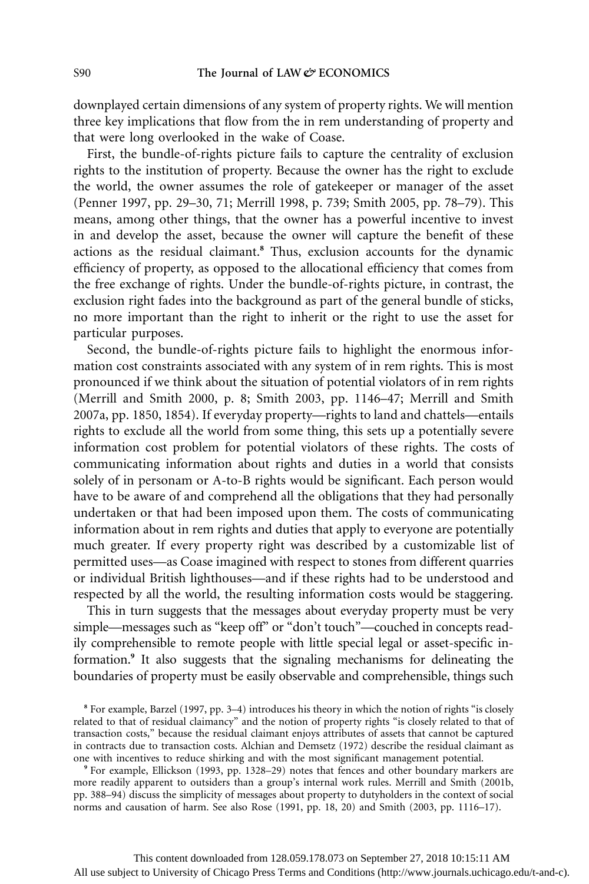downplayed certain dimensions of any system of property rights. We will mention three key implications that flow from the in rem understanding of property and that were long overlooked in the wake of Coase.

First, the bundle-of-rights picture fails to capture the centrality of exclusion rights to the institution of property. Because the owner has the right to exclude the world, the owner assumes the role of gatekeeper or manager of the asset (Penner 1997, pp. 29–30, 71; Merrill 1998, p. 739; Smith 2005, pp. 78–79). This means, among other things, that the owner has a powerful incentive to invest in and develop the asset, because the owner will capture the benefit of these actions as the residual claimant.**<sup>8</sup>** Thus, exclusion accounts for the dynamic efficiency of property, as opposed to the allocational efficiency that comes from the free exchange of rights. Under the bundle-of-rights picture, in contrast, the exclusion right fades into the background as part of the general bundle of sticks, no more important than the right to inherit or the right to use the asset for particular purposes.

Second, the bundle-of-rights picture fails to highlight the enormous information cost constraints associated with any system of in rem rights. This is most pronounced if we think about the situation of potential violators of in rem rights (Merrill and Smith 2000, p. 8; Smith 2003, pp. 1146–47; Merrill and Smith 2007a, pp. 1850, 1854). If everyday property—rights to land and chattels—entails rights to exclude all the world from some thing, this sets up a potentially severe information cost problem for potential violators of these rights. The costs of communicating information about rights and duties in a world that consists solely of in personam or A-to-B rights would be significant. Each person would have to be aware of and comprehend all the obligations that they had personally undertaken or that had been imposed upon them. The costs of communicating information about in rem rights and duties that apply to everyone are potentially much greater. If every property right was described by a customizable list of permitted uses—as Coase imagined with respect to stones from different quarries or individual British lighthouses—and if these rights had to be understood and respected by all the world, the resulting information costs would be staggering.

This in turn suggests that the messages about everyday property must be very simple—messages such as "keep off" or "don't touch"—couched in concepts readily comprehensible to remote people with little special legal or asset-specific information.**<sup>9</sup>** It also suggests that the signaling mechanisms for delineating the boundaries of property must be easily observable and comprehensible, things such

**<sup>8</sup>** For example, Barzel (1997, pp. 3–4) introduces his theory in which the notion of rights "is closely related to that of residual claimancy" and the notion of property rights "is closely related to that of transaction costs," because the residual claimant enjoys attributes of assets that cannot be captured in contracts due to transaction costs. Alchian and Demsetz (1972) describe the residual claimant as one with incentives to reduce shirking and with the most significant management potential.

**<sup>9</sup>** For example, Ellickson (1993, pp. 1328–29) notes that fences and other boundary markers are more readily apparent to outsiders than a group's internal work rules. Merrill and Smith (2001b, pp. 388–94) discuss the simplicity of messages about property to dutyholders in the context of social norms and causation of harm. See also Rose (1991, pp. 18, 20) and Smith (2003, pp. 1116–17).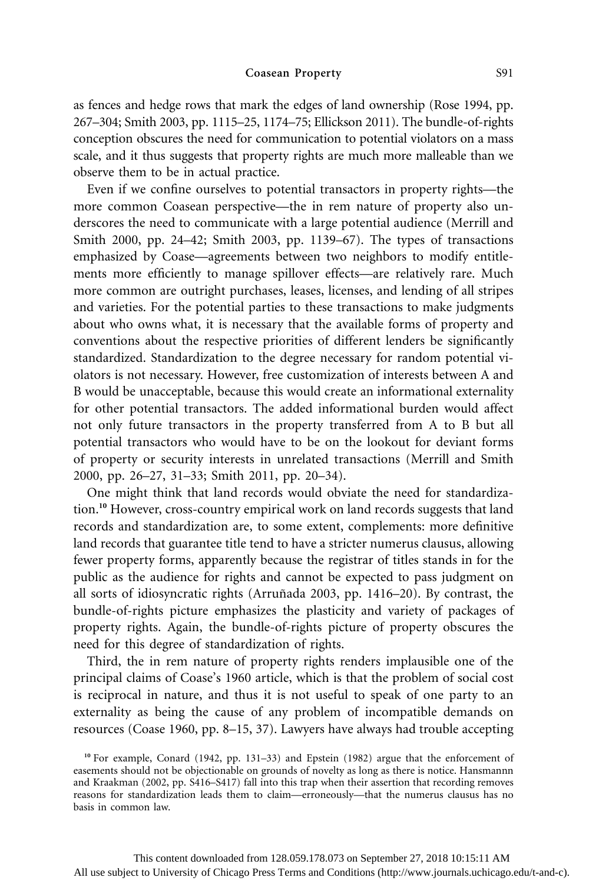as fences and hedge rows that mark the edges of land ownership (Rose 1994, pp. 267–304; Smith 2003, pp. 1115–25, 1174–75; Ellickson 2011). The bundle-of-rights conception obscures the need for communication to potential violators on a mass scale, and it thus suggests that property rights are much more malleable than we observe them to be in actual practice.

Even if we confine ourselves to potential transactors in property rights—the more common Coasean perspective—the in rem nature of property also underscores the need to communicate with a large potential audience (Merrill and Smith 2000, pp. 24–42; Smith 2003, pp. 1139–67). The types of transactions emphasized by Coase—agreements between two neighbors to modify entitlements more efficiently to manage spillover effects—are relatively rare. Much more common are outright purchases, leases, licenses, and lending of all stripes and varieties. For the potential parties to these transactions to make judgments about who owns what, it is necessary that the available forms of property and conventions about the respective priorities of different lenders be significantly standardized. Standardization to the degree necessary for random potential violators is not necessary. However, free customization of interests between A and B would be unacceptable, because this would create an informational externality for other potential transactors. The added informational burden would affect not only future transactors in the property transferred from A to B but all potential transactors who would have to be on the lookout for deviant forms of property or security interests in unrelated transactions (Merrill and Smith 2000, pp. 26–27, 31–33; Smith 2011, pp. 20–34).

One might think that land records would obviate the need for standardization.**<sup>10</sup>** However, cross-country empirical work on land records suggests that land records and standardization are, to some extent, complements: more definitive land records that guarantee title tend to have a stricter numerus clausus, allowing fewer property forms, apparently because the registrar of titles stands in for the public as the audience for rights and cannot be expected to pass judgment on all sorts of idiosyncratic rights (Arruñada 2003, pp. 1416–20). By contrast, the bundle-of-rights picture emphasizes the plasticity and variety of packages of property rights. Again, the bundle-of-rights picture of property obscures the need for this degree of standardization of rights.

Third, the in rem nature of property rights renders implausible one of the principal claims of Coase's 1960 article, which is that the problem of social cost is reciprocal in nature, and thus it is not useful to speak of one party to an externality as being the cause of any problem of incompatible demands on resources (Coase 1960, pp. 8–15, 37). Lawyers have always had trouble accepting

**<sup>10</sup>** For example, Conard (1942, pp. 131–33) and Epstein (1982) argue that the enforcement of easements should not be objectionable on grounds of novelty as long as there is notice. Hansmannn and Kraakman (2002, pp. S416–S417) fall into this trap when their assertion that recording removes reasons for standardization leads them to claim—erroneously—that the numerus clausus has no basis in common law.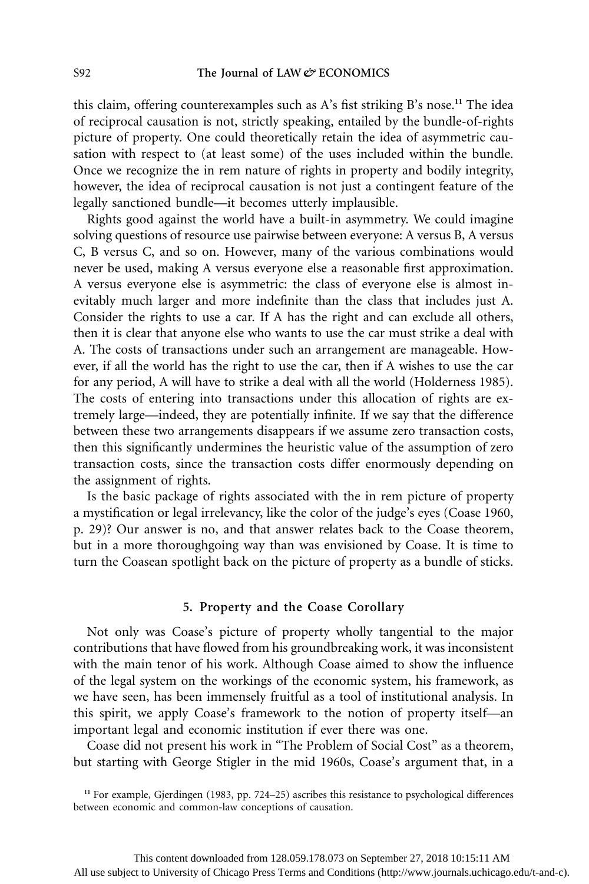this claim, offering counterexamples such as A's fist striking B's nose.**<sup>11</sup>** The idea of reciprocal causation is not, strictly speaking, entailed by the bundle-of-rights picture of property. One could theoretically retain the idea of asymmetric causation with respect to (at least some) of the uses included within the bundle. Once we recognize the in rem nature of rights in property and bodily integrity, however, the idea of reciprocal causation is not just a contingent feature of the legally sanctioned bundle—it becomes utterly implausible.

Rights good against the world have a built-in asymmetry. We could imagine solving questions of resource use pairwise between everyone: A versus B, A versus C, B versus C, and so on. However, many of the various combinations would never be used, making A versus everyone else a reasonable first approximation. A versus everyone else is asymmetric: the class of everyone else is almost inevitably much larger and more indefinite than the class that includes just A. Consider the rights to use a car. If A has the right and can exclude all others, then it is clear that anyone else who wants to use the car must strike a deal with A. The costs of transactions under such an arrangement are manageable. However, if all the world has the right to use the car, then if A wishes to use the car for any period, A will have to strike a deal with all the world (Holderness 1985). The costs of entering into transactions under this allocation of rights are extremely large—indeed, they are potentially infinite. If we say that the difference between these two arrangements disappears if we assume zero transaction costs, then this significantly undermines the heuristic value of the assumption of zero transaction costs, since the transaction costs differ enormously depending on the assignment of rights.

Is the basic package of rights associated with the in rem picture of property a mystification or legal irrelevancy, like the color of the judge's eyes (Coase 1960, p. 29)? Our answer is no, and that answer relates back to the Coase theorem, but in a more thoroughgoing way than was envisioned by Coase. It is time to turn the Coasean spotlight back on the picture of property as a bundle of sticks.

### **5. Property and the Coase Corollary**

Not only was Coase's picture of property wholly tangential to the major contributions that have flowed from his groundbreaking work, it was inconsistent with the main tenor of his work. Although Coase aimed to show the influence of the legal system on the workings of the economic system, his framework, as we have seen, has been immensely fruitful as a tool of institutional analysis. In this spirit, we apply Coase's framework to the notion of property itself—an important legal and economic institution if ever there was one.

Coase did not present his work in "The Problem of Social Cost" as a theorem, but starting with George Stigler in the mid 1960s, Coase's argument that, in a

**<sup>11</sup>** For example, Gjerdingen (1983, pp. 724–25) ascribes this resistance to psychological differences between economic and common-law conceptions of causation.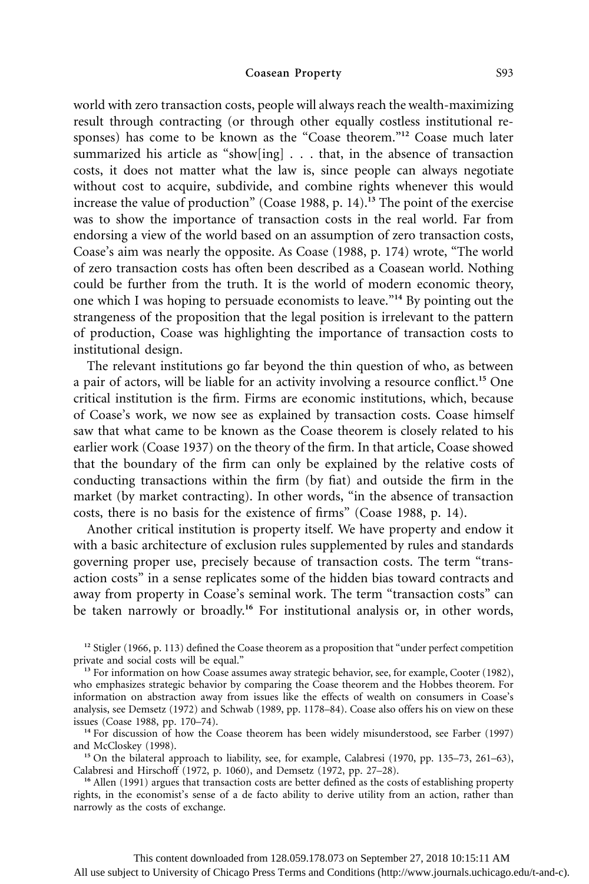#### Coasean Property S93

world with zero transaction costs, people will always reach the wealth-maximizing result through contracting (or through other equally costless institutional responses) has come to be known as the "Coase theorem."**<sup>12</sup>** Coase much later summarized his article as "show[ing] . . . that, in the absence of transaction costs, it does not matter what the law is, since people can always negotiate without cost to acquire, subdivide, and combine rights whenever this would increase the value of production" (Coase 1988, p. 14).**<sup>13</sup>** The point of the exercise was to show the importance of transaction costs in the real world. Far from endorsing a view of the world based on an assumption of zero transaction costs, Coase's aim was nearly the opposite. As Coase (1988, p. 174) wrote, "The world of zero transaction costs has often been described as a Coasean world. Nothing could be further from the truth. It is the world of modern economic theory, one which I was hoping to persuade economists to leave."**<sup>14</sup>** By pointing out the strangeness of the proposition that the legal position is irrelevant to the pattern of production, Coase was highlighting the importance of transaction costs to institutional design.

The relevant institutions go far beyond the thin question of who, as between a pair of actors, will be liable for an activity involving a resource conflict.**<sup>15</sup>** One critical institution is the firm. Firms are economic institutions, which, because of Coase's work, we now see as explained by transaction costs. Coase himself saw that what came to be known as the Coase theorem is closely related to his earlier work (Coase 1937) on the theory of the firm. In that article, Coase showed that the boundary of the firm can only be explained by the relative costs of conducting transactions within the firm (by fiat) and outside the firm in the market (by market contracting). In other words, "in the absence of transaction costs, there is no basis for the existence of firms" (Coase 1988, p. 14).

Another critical institution is property itself. We have property and endow it with a basic architecture of exclusion rules supplemented by rules and standards governing proper use, precisely because of transaction costs. The term "transaction costs" in a sense replicates some of the hidden bias toward contracts and away from property in Coase's seminal work. The term "transaction costs" can be taken narrowly or broadly.**<sup>16</sup>** For institutional analysis or, in other words,

<sup>12</sup> Stigler (1966, p. 113) defined the Coase theorem as a proposition that "under perfect competition" private and social costs will be equal."

**<sup>14</sup>** For discussion of how the Coase theorem has been widely misunderstood, see Farber (1997) and McCloskey (1998).

**<sup>15</sup>** On the bilateral approach to liability, see, for example, Calabresi (1970, pp. 135–73, 261–63), Calabresi and Hirschoff (1972, p. 1060), and Demsetz (1972, pp. 27–28).

<sup>16</sup> Allen (1991) argues that transaction costs are better defined as the costs of establishing property rights, in the economist's sense of a de facto ability to derive utility from an action, rather than narrowly as the costs of exchange.

**<sup>13</sup>** For information on how Coase assumes away strategic behavior, see, for example, Cooter (1982), who emphasizes strategic behavior by comparing the Coase theorem and the Hobbes theorem. For information on abstraction away from issues like the effects of wealth on consumers in Coase's analysis, see Demsetz (1972) and Schwab (1989, pp. 1178–84). Coase also offers his on view on these issues (Coase 1988, pp. 170–74).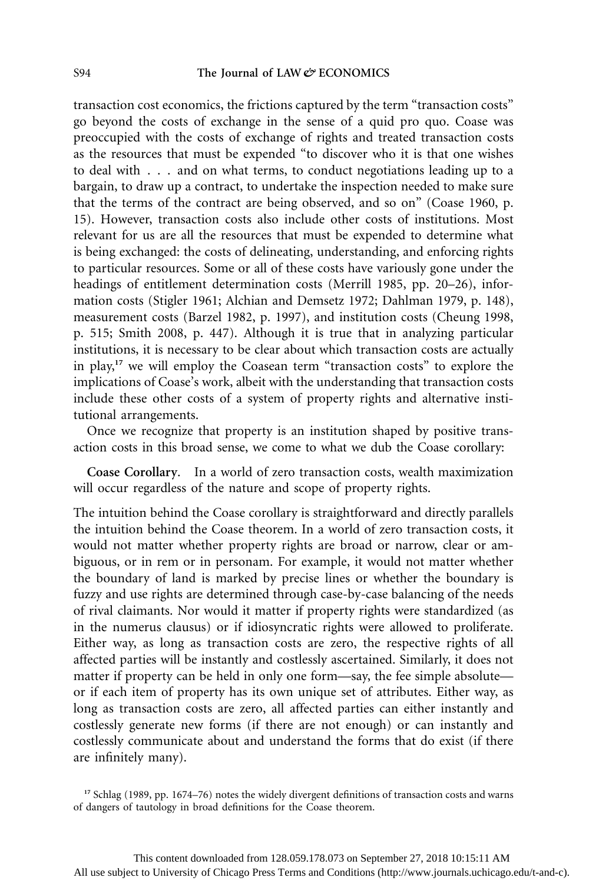transaction cost economics, the frictions captured by the term "transaction costs" go beyond the costs of exchange in the sense of a quid pro quo. Coase was preoccupied with the costs of exchange of rights and treated transaction costs as the resources that must be expended "to discover who it is that one wishes to deal with . . . and on what terms, to conduct negotiations leading up to a bargain, to draw up a contract, to undertake the inspection needed to make sure that the terms of the contract are being observed, and so on" (Coase 1960, p. 15). However, transaction costs also include other costs of institutions. Most relevant for us are all the resources that must be expended to determine what is being exchanged: the costs of delineating, understanding, and enforcing rights to particular resources. Some or all of these costs have variously gone under the headings of entitlement determination costs (Merrill 1985, pp. 20–26), information costs (Stigler 1961; Alchian and Demsetz 1972; Dahlman 1979, p. 148), measurement costs (Barzel 1982, p. 1997), and institution costs (Cheung 1998, p. 515; Smith 2008, p. 447). Although it is true that in analyzing particular institutions, it is necessary to be clear about which transaction costs are actually in play,**<sup>17</sup>** we will employ the Coasean term "transaction costs" to explore the implications of Coase's work, albeit with the understanding that transaction costs include these other costs of a system of property rights and alternative institutional arrangements.

Once we recognize that property is an institution shaped by positive transaction costs in this broad sense, we come to what we dub the Coase corollary:

**Coase Corollary**. In a world of zero transaction costs, wealth maximization will occur regardless of the nature and scope of property rights.

The intuition behind the Coase corollary is straightforward and directly parallels the intuition behind the Coase theorem. In a world of zero transaction costs, it would not matter whether property rights are broad or narrow, clear or ambiguous, or in rem or in personam. For example, it would not matter whether the boundary of land is marked by precise lines or whether the boundary is fuzzy and use rights are determined through case-by-case balancing of the needs of rival claimants. Nor would it matter if property rights were standardized (as in the numerus clausus) or if idiosyncratic rights were allowed to proliferate. Either way, as long as transaction costs are zero, the respective rights of all affected parties will be instantly and costlessly ascertained. Similarly, it does not matter if property can be held in only one form—say, the fee simple absolute or if each item of property has its own unique set of attributes. Either way, as long as transaction costs are zero, all affected parties can either instantly and costlessly generate new forms (if there are not enough) or can instantly and costlessly communicate about and understand the forms that do exist (if there are infinitely many).

**<sup>17</sup>** Schlag (1989, pp. 1674–76) notes the widely divergent definitions of transaction costs and warns of dangers of tautology in broad definitions for the Coase theorem.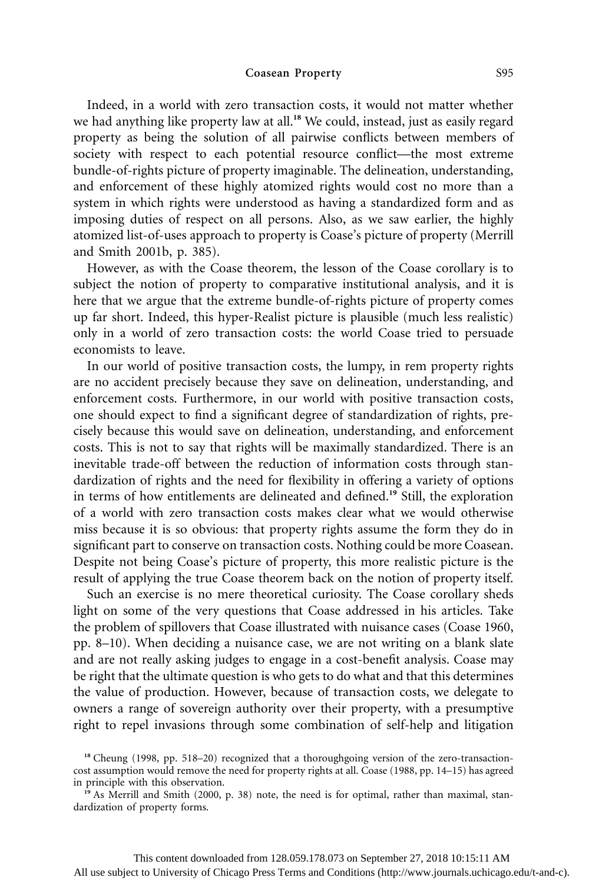Indeed, in a world with zero transaction costs, it would not matter whether we had anything like property law at all.**<sup>18</sup>** We could, instead, just as easily regard property as being the solution of all pairwise conflicts between members of society with respect to each potential resource conflict—the most extreme bundle-of-rights picture of property imaginable. The delineation, understanding, and enforcement of these highly atomized rights would cost no more than a system in which rights were understood as having a standardized form and as imposing duties of respect on all persons. Also, as we saw earlier, the highly atomized list-of-uses approach to property is Coase's picture of property (Merrill and Smith 2001b, p. 385).

However, as with the Coase theorem, the lesson of the Coase corollary is to subject the notion of property to comparative institutional analysis, and it is here that we argue that the extreme bundle-of-rights picture of property comes up far short. Indeed, this hyper-Realist picture is plausible (much less realistic) only in a world of zero transaction costs: the world Coase tried to persuade economists to leave.

In our world of positive transaction costs, the lumpy, in rem property rights are no accident precisely because they save on delineation, understanding, and enforcement costs. Furthermore, in our world with positive transaction costs, one should expect to find a significant degree of standardization of rights, precisely because this would save on delineation, understanding, and enforcement costs. This is not to say that rights will be maximally standardized. There is an inevitable trade-off between the reduction of information costs through standardization of rights and the need for flexibility in offering a variety of options in terms of how entitlements are delineated and defined.**<sup>19</sup>** Still, the exploration of a world with zero transaction costs makes clear what we would otherwise miss because it is so obvious: that property rights assume the form they do in significant part to conserve on transaction costs. Nothing could be more Coasean. Despite not being Coase's picture of property, this more realistic picture is the result of applying the true Coase theorem back on the notion of property itself.

Such an exercise is no mere theoretical curiosity. The Coase corollary sheds light on some of the very questions that Coase addressed in his articles. Take the problem of spillovers that Coase illustrated with nuisance cases (Coase 1960, pp. 8–10). When deciding a nuisance case, we are not writing on a blank slate and are not really asking judges to engage in a cost-benefit analysis. Coase may be right that the ultimate question is who gets to do what and that this determines the value of production. However, because of transaction costs, we delegate to owners a range of sovereign authority over their property, with a presumptive right to repel invasions through some combination of self-help and litigation

**<sup>18</sup>** Cheung (1998, pp. 518–20) recognized that a thoroughgoing version of the zero-transactioncost assumption would remove the need for property rights at all. Coase (1988, pp. 14–15) has agreed in principle with this observation.

**<sup>19</sup>** As Merrill and Smith (2000, p. 38) note, the need is for optimal, rather than maximal, standardization of property forms.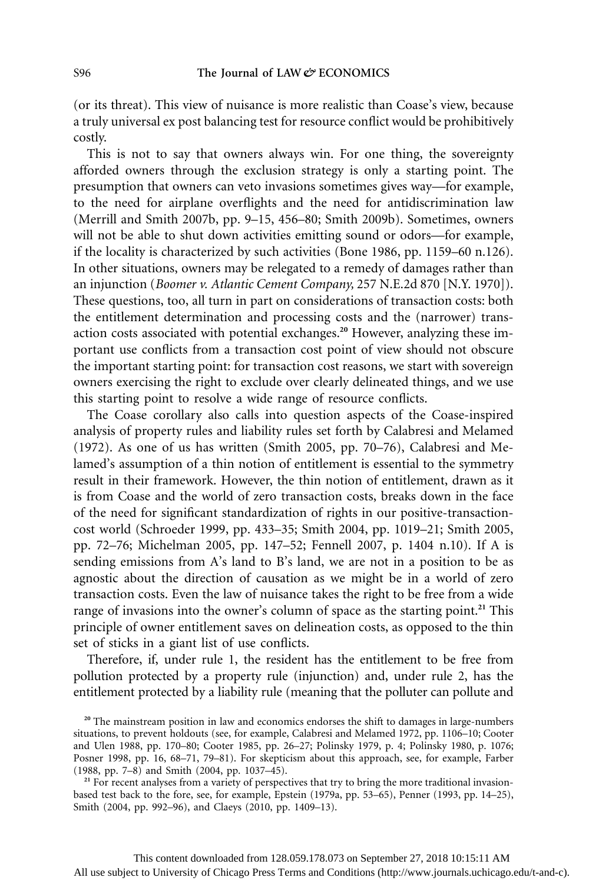(or its threat). This view of nuisance is more realistic than Coase's view, because a truly universal ex post balancing test for resource conflict would be prohibitively costly.

This is not to say that owners always win. For one thing, the sovereignty afforded owners through the exclusion strategy is only a starting point. The presumption that owners can veto invasions sometimes gives way—for example, to the need for airplane overflights and the need for antidiscrimination law (Merrill and Smith 2007b, pp. 9–15, 456–80; Smith 2009b). Sometimes, owners will not be able to shut down activities emitting sound or odors—for example, if the locality is characterized by such activities (Bone 1986, pp. 1159–60 n.126). In other situations, owners may be relegated to a remedy of damages rather than an injunction (*Boomer v. Atlantic Cement Company,* 257 N.E.2d 870 [N.Y. 1970]). These questions, too, all turn in part on considerations of transaction costs: both the entitlement determination and processing costs and the (narrower) transaction costs associated with potential exchanges.**<sup>20</sup>** However, analyzing these important use conflicts from a transaction cost point of view should not obscure the important starting point: for transaction cost reasons, we start with sovereign owners exercising the right to exclude over clearly delineated things, and we use this starting point to resolve a wide range of resource conflicts.

The Coase corollary also calls into question aspects of the Coase-inspired analysis of property rules and liability rules set forth by Calabresi and Melamed (1972). As one of us has written (Smith 2005, pp. 70–76), Calabresi and Melamed's assumption of a thin notion of entitlement is essential to the symmetry result in their framework. However, the thin notion of entitlement, drawn as it is from Coase and the world of zero transaction costs, breaks down in the face of the need for significant standardization of rights in our positive-transactioncost world (Schroeder 1999, pp. 433–35; Smith 2004, pp. 1019–21; Smith 2005, pp. 72–76; Michelman 2005, pp. 147–52; Fennell 2007, p. 1404 n.10). If A is sending emissions from A's land to B's land, we are not in a position to be as agnostic about the direction of causation as we might be in a world of zero transaction costs. Even the law of nuisance takes the right to be free from a wide range of invasions into the owner's column of space as the starting point.**<sup>21</sup>** This principle of owner entitlement saves on delineation costs, as opposed to the thin set of sticks in a giant list of use conflicts.

Therefore, if, under rule 1, the resident has the entitlement to be free from pollution protected by a property rule (injunction) and, under rule 2, has the entitlement protected by a liability rule (meaning that the polluter can pollute and

**<sup>20</sup>** The mainstream position in law and economics endorses the shift to damages in large-numbers situations, to prevent holdouts (see, for example, Calabresi and Melamed 1972, pp. 1106–10; Cooter and Ulen 1988, pp. 170–80; Cooter 1985, pp. 26–27; Polinsky 1979, p. 4; Polinsky 1980, p. 1076; Posner 1998, pp. 16, 68–71, 79–81). For skepticism about this approach, see, for example, Farber (1988, pp. 7–8) and Smith (2004, pp. 1037–45).

<sup>&</sup>lt;sup>21</sup> For recent analyses from a variety of perspectives that try to bring the more traditional invasionbased test back to the fore, see, for example, Epstein (1979a, pp. 53–65), Penner (1993, pp. 14–25), Smith (2004, pp. 992–96), and Claeys (2010, pp. 1409–13).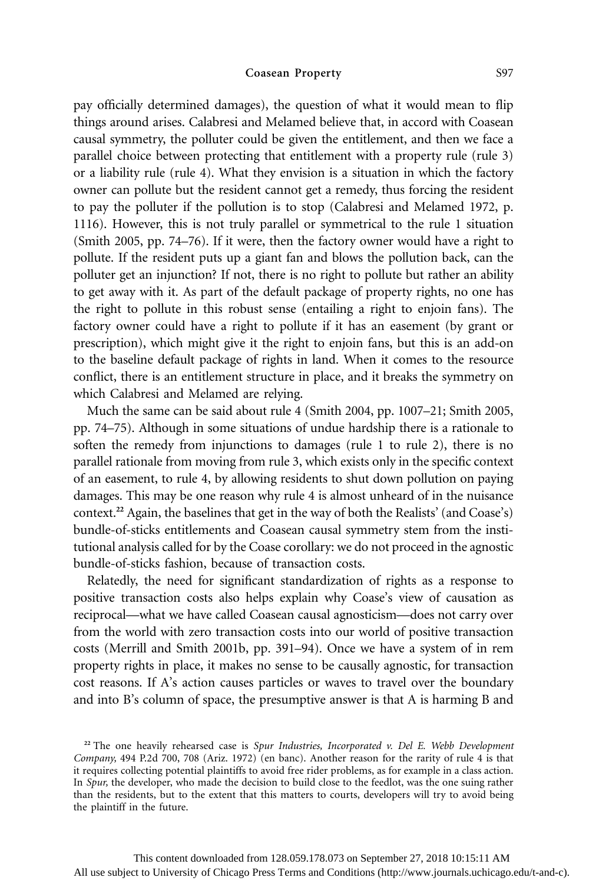#### Coasean Property S97

pay officially determined damages), the question of what it would mean to flip things around arises. Calabresi and Melamed believe that, in accord with Coasean causal symmetry, the polluter could be given the entitlement, and then we face a parallel choice between protecting that entitlement with a property rule (rule 3) or a liability rule (rule 4). What they envision is a situation in which the factory owner can pollute but the resident cannot get a remedy, thus forcing the resident to pay the polluter if the pollution is to stop (Calabresi and Melamed 1972, p. 1116). However, this is not truly parallel or symmetrical to the rule 1 situation (Smith 2005, pp. 74–76). If it were, then the factory owner would have a right to pollute. If the resident puts up a giant fan and blows the pollution back, can the polluter get an injunction? If not, there is no right to pollute but rather an ability to get away with it. As part of the default package of property rights, no one has the right to pollute in this robust sense (entailing a right to enjoin fans). The factory owner could have a right to pollute if it has an easement (by grant or prescription), which might give it the right to enjoin fans, but this is an add-on to the baseline default package of rights in land. When it comes to the resource conflict, there is an entitlement structure in place, and it breaks the symmetry on which Calabresi and Melamed are relying.

Much the same can be said about rule 4 (Smith 2004, pp. 1007–21; Smith 2005, pp. 74–75). Although in some situations of undue hardship there is a rationale to soften the remedy from injunctions to damages (rule 1 to rule 2), there is no parallel rationale from moving from rule 3, which exists only in the specific context of an easement, to rule 4, by allowing residents to shut down pollution on paying damages. This may be one reason why rule 4 is almost unheard of in the nuisance context.**<sup>22</sup>** Again, the baselines that get in the way of both the Realists' (and Coase's) bundle-of-sticks entitlements and Coasean causal symmetry stem from the institutional analysis called for by the Coase corollary: we do not proceed in the agnostic bundle-of-sticks fashion, because of transaction costs.

Relatedly, the need for significant standardization of rights as a response to positive transaction costs also helps explain why Coase's view of causation as reciprocal—what we have called Coasean causal agnosticism—does not carry over from the world with zero transaction costs into our world of positive transaction costs (Merrill and Smith 2001b, pp. 391–94). Once we have a system of in rem property rights in place, it makes no sense to be causally agnostic, for transaction cost reasons. If A's action causes particles or waves to travel over the boundary and into B's column of space, the presumptive answer is that A is harming B and

**<sup>22</sup>** The one heavily rehearsed case is *Spur Industries, Incorporated v. Del E. Webb Development Company,* 494 P.2d 700, 708 (Ariz. 1972) (en banc). Another reason for the rarity of rule 4 is that it requires collecting potential plaintiffs to avoid free rider problems, as for example in a class action. In *Spur,* the developer, who made the decision to build close to the feedlot, was the one suing rather than the residents, but to the extent that this matters to courts, developers will try to avoid being the plaintiff in the future.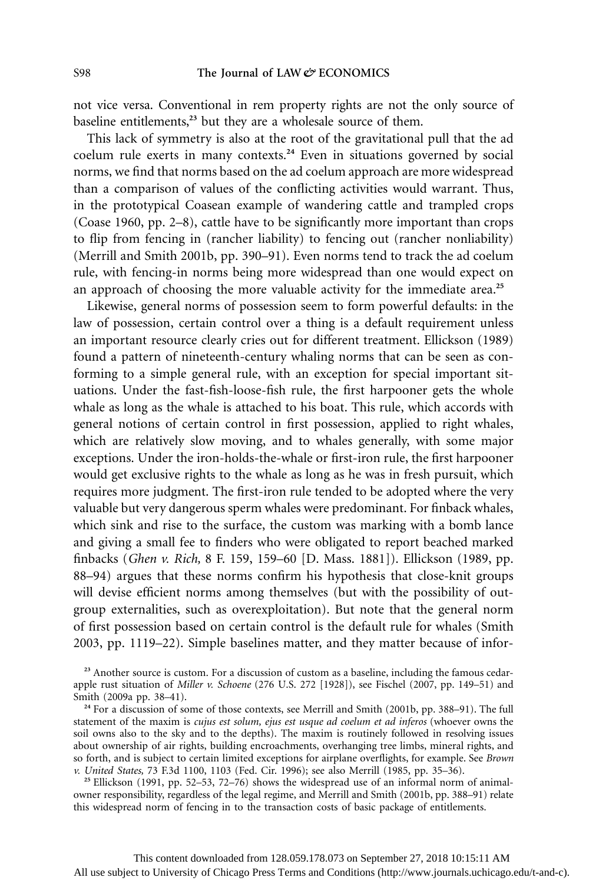not vice versa. Conventional in rem property rights are not the only source of baseline entitlements,**<sup>23</sup>** but they are a wholesale source of them.

This lack of symmetry is also at the root of the gravitational pull that the ad coelum rule exerts in many contexts.**<sup>24</sup>** Even in situations governed by social norms, we find that norms based on the ad coelum approach are more widespread than a comparison of values of the conflicting activities would warrant. Thus, in the prototypical Coasean example of wandering cattle and trampled crops (Coase 1960, pp. 2–8), cattle have to be significantly more important than crops to flip from fencing in (rancher liability) to fencing out (rancher nonliability) (Merrill and Smith 2001b, pp. 390–91). Even norms tend to track the ad coelum rule, with fencing-in norms being more widespread than one would expect on an approach of choosing the more valuable activity for the immediate area.**<sup>25</sup>**

Likewise, general norms of possession seem to form powerful defaults: in the law of possession, certain control over a thing is a default requirement unless an important resource clearly cries out for different treatment. Ellickson (1989) found a pattern of nineteenth-century whaling norms that can be seen as conforming to a simple general rule, with an exception for special important situations. Under the fast-fish-loose-fish rule, the first harpooner gets the whole whale as long as the whale is attached to his boat. This rule, which accords with general notions of certain control in first possession, applied to right whales, which are relatively slow moving, and to whales generally, with some major exceptions. Under the iron-holds-the-whale or first-iron rule, the first harpooner would get exclusive rights to the whale as long as he was in fresh pursuit, which requires more judgment. The first-iron rule tended to be adopted where the very valuable but very dangerous sperm whales were predominant. For finback whales, which sink and rise to the surface, the custom was marking with a bomb lance and giving a small fee to finders who were obligated to report beached marked finbacks (*Ghen v. Rich,* 8 F. 159, 159–60 [D. Mass. 1881]). Ellickson (1989, pp. 88–94) argues that these norms confirm his hypothesis that close-knit groups will devise efficient norms among themselves (but with the possibility of outgroup externalities, such as overexploitation). But note that the general norm of first possession based on certain control is the default rule for whales (Smith 2003, pp. 1119–22). Simple baselines matter, and they matter because of infor-

<sup>&</sup>lt;sup>23</sup> Another source is custom. For a discussion of custom as a baseline, including the famous cedarapple rust situation of *Miller v. Schoene* (276 U.S. 272 [1928]), see Fischel (2007, pp. 149–51) and Smith (2009a pp. 38–41).

**<sup>24</sup>** For a discussion of some of those contexts, see Merrill and Smith (2001b, pp. 388–91). The full statement of the maxim is *cujus est solum, ejus est usque ad coelum et ad inferos* (whoever owns the soil owns also to the sky and to the depths). The maxim is routinely followed in resolving issues about ownership of air rights, building encroachments, overhanging tree limbs, mineral rights, and so forth, and is subject to certain limited exceptions for airplane overflights, for example. See *Brown v. United States,* 73 F.3d 1100, 1103 (Fed. Cir. 1996); see also Merrill (1985, pp. 35–36).

**<sup>25</sup>** Ellickson (1991, pp. 52–53, 72–76) shows the widespread use of an informal norm of animalowner responsibility, regardless of the legal regime, and Merrill and Smith (2001b, pp. 388–91) relate this widespread norm of fencing in to the transaction costs of basic package of entitlements.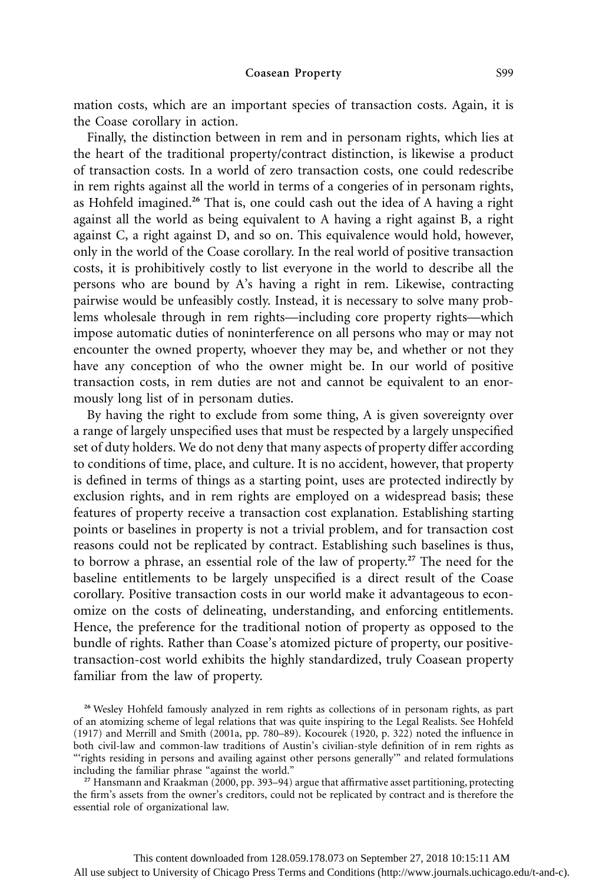mation costs, which are an important species of transaction costs. Again, it is the Coase corollary in action.

Finally, the distinction between in rem and in personam rights, which lies at the heart of the traditional property/contract distinction, is likewise a product of transaction costs. In a world of zero transaction costs, one could redescribe in rem rights against all the world in terms of a congeries of in personam rights, as Hohfeld imagined.**<sup>26</sup>** That is, one could cash out the idea of A having a right against all the world as being equivalent to A having a right against B, a right against C, a right against D, and so on. This equivalence would hold, however, only in the world of the Coase corollary. In the real world of positive transaction costs, it is prohibitively costly to list everyone in the world to describe all the persons who are bound by A's having a right in rem. Likewise, contracting pairwise would be unfeasibly costly. Instead, it is necessary to solve many problems wholesale through in rem rights—including core property rights—which impose automatic duties of noninterference on all persons who may or may not encounter the owned property, whoever they may be, and whether or not they have any conception of who the owner might be. In our world of positive transaction costs, in rem duties are not and cannot be equivalent to an enormously long list of in personam duties.

By having the right to exclude from some thing, A is given sovereignty over a range of largely unspecified uses that must be respected by a largely unspecified set of duty holders. We do not deny that many aspects of property differ according to conditions of time, place, and culture. It is no accident, however, that property is defined in terms of things as a starting point, uses are protected indirectly by exclusion rights, and in rem rights are employed on a widespread basis; these features of property receive a transaction cost explanation. Establishing starting points or baselines in property is not a trivial problem, and for transaction cost reasons could not be replicated by contract. Establishing such baselines is thus, to borrow a phrase, an essential role of the law of property.**<sup>27</sup>** The need for the baseline entitlements to be largely unspecified is a direct result of the Coase corollary. Positive transaction costs in our world make it advantageous to economize on the costs of delineating, understanding, and enforcing entitlements. Hence, the preference for the traditional notion of property as opposed to the bundle of rights. Rather than Coase's atomized picture of property, our positivetransaction-cost world exhibits the highly standardized, truly Coasean property familiar from the law of property.

**<sup>26</sup>** Wesley Hohfeld famously analyzed in rem rights as collections of in personam rights, as part of an atomizing scheme of legal relations that was quite inspiring to the Legal Realists. See Hohfeld (1917) and Merrill and Smith (2001a, pp. 780–89). Kocourek (1920, p. 322) noted the influence in both civil-law and common-law traditions of Austin's civilian-style definition of in rem rights as "'rights residing in persons and availing against other persons generally'" and related formulations including the familiar phrase "against the world."

**<sup>27</sup>** Hansmann and Kraakman (2000, pp. 393–94) argue that affirmative asset partitioning, protecting the firm's assets from the owner's creditors, could not be replicated by contract and is therefore the essential role of organizational law.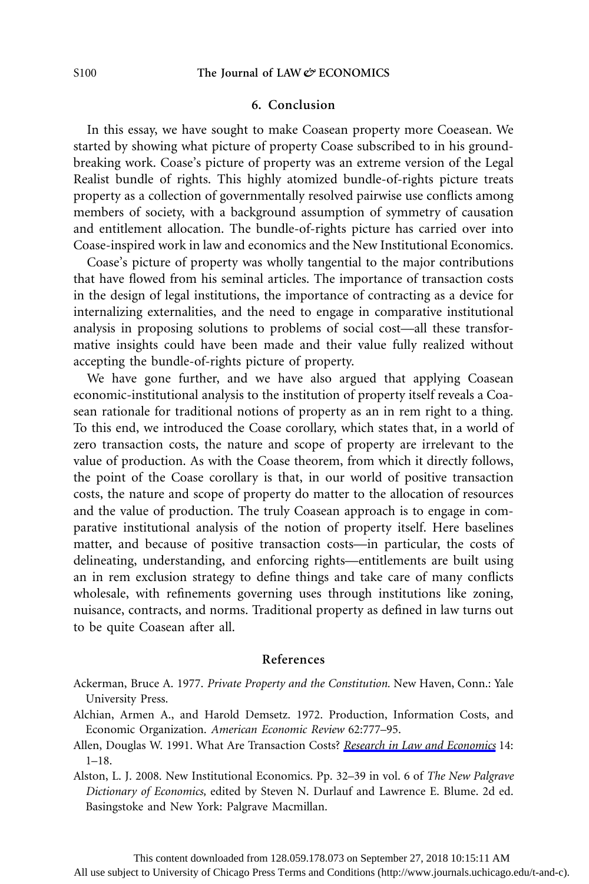## **6. Conclusion**

In this essay, we have sought to make Coasean property more Coeasean. We started by showing what picture of property Coase subscribed to in his groundbreaking work. Coase's picture of property was an extreme version of the Legal Realist bundle of rights. This highly atomized bundle-of-rights picture treats property as a collection of governmentally resolved pairwise use conflicts among members of society, with a background assumption of symmetry of causation and entitlement allocation. The bundle-of-rights picture has carried over into Coase-inspired work in law and economics and the New Institutional Economics.

Coase's picture of property was wholly tangential to the major contributions that have flowed from his seminal articles. The importance of transaction costs in the design of legal institutions, the importance of contracting as a device for internalizing externalities, and the need to engage in comparative institutional analysis in proposing solutions to problems of social cost—all these transformative insights could have been made and their value fully realized without accepting the bundle-of-rights picture of property.

We have gone further, and we have also argued that applying Coasean economic-institutional analysis to the institution of property itself reveals a Coasean rationale for traditional notions of property as an in rem right to a thing. To this end, we introduced the Coase corollary, which states that, in a world of zero transaction costs, the nature and scope of property are irrelevant to the value of production. As with the Coase theorem, from which it directly follows, the point of the Coase corollary is that, in our world of positive transaction costs, the nature and scope of property do matter to the allocation of resources and the value of production. The truly Coasean approach is to engage in comparative institutional analysis of the notion of property itself. Here baselines matter, and because of positive transaction costs—in particular, the costs of delineating, understanding, and enforcing rights—entitlements are built using an in rem exclusion strategy to define things and take care of many conflicts wholesale, with refinements governing uses through institutions like zoning, nuisance, contracts, and norms. Traditional property as defined in law turns out to be quite Coasean after all.

#### **References**

- Ackerman, Bruce A. 1977. *Private Property and the Constitution.* New Haven, Conn.: Yale University Press.
- Alchian, Armen A., and Harold Demsetz. 1972. Production, Information Costs, and Economic Organization. *American Economic Review* 62:777–95.
- Allen, Douglas W. 1991. What Are Transaction Costs? *[Research in Law and Economics](https://www.journals.uchicago.edu/action/showLinks?doi=10.1086%2F661946&system=10.1086%2F467217&citationId=p_30)* 14: 1–18.
- Alston, L. J. 2008. New Institutional Economics. Pp. 32–39 in vol. 6 of *The New Palgrave Dictionary of Economics,* edited by Steven N. Durlauf and Lawrence E. Blume. 2d ed. Basingstoke and New York: Palgrave Macmillan.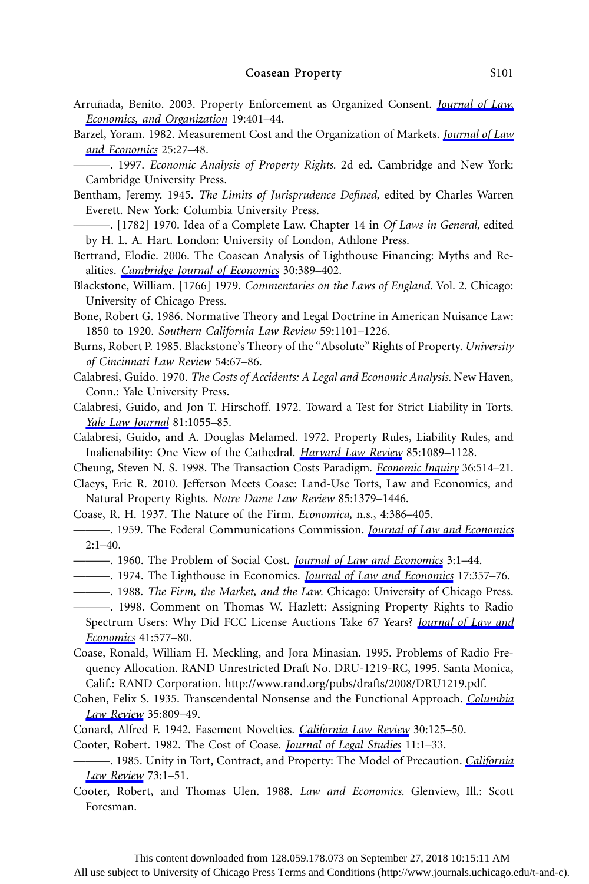- Arrun˜ada, Benito. 2003. Property Enforcement as Organized Consent. *[Journal of Law,](https://www.journals.uchicago.edu/action/showLinks?doi=10.1086%2F661946&crossref=10.1093%2Fjleo%2Fewg016&citationId=p_32) [Economics, and Organization](https://www.journals.uchicago.edu/action/showLinks?doi=10.1086%2F661946&crossref=10.1093%2Fjleo%2Fewg016&citationId=p_32)* 19:401–44.
- Barzel, Yoram. 1982. Measurement Cost and the Organization of Markets. *[Journal of Law](https://www.journals.uchicago.edu/action/showLinks?doi=10.1086%2F661946&system=10.1086%2F467005&citationId=p_33) [and Economics](https://www.journals.uchicago.edu/action/showLinks?doi=10.1086%2F661946&system=10.1086%2F467005&citationId=p_33)* 25:27–48.

———. 1997. *Economic Analysis of Property Rights.* 2d ed. Cambridge and New York: Cambridge University Press.

Bentham, Jeremy. 1945. *The Limits of Jurisprudence Defined,* edited by Charles Warren Everett. New York: Columbia University Press.

———. [1782] 1970. Idea of a Complete Law. Chapter 14 in *Of Laws in General,* edited by H. L. A. Hart. London: University of London, Athlone Press.

- Bertrand, Elodie. 2006. The Coasean Analysis of Lighthouse Financing: Myths and Realities. *[Cambridge Journal of Economics](https://www.journals.uchicago.edu/action/showLinks?doi=10.1086%2F661946&crossref=10.1093%2Fcje%2Fbei068&citationId=p_37)* 30:389–402.
- Blackstone, William. [1766] 1979. *Commentaries on the Laws of England.* Vol. 2. Chicago: University of Chicago Press.
- Bone, Robert G. 1986. Normative Theory and Legal Doctrine in American Nuisance Law: 1850 to 1920. *Southern California Law Review* 59:1101–1226.
- Burns, Robert P. 1985. Blackstone's Theory of the "Absolute" Rights of Property. *University of Cincinnati Law Review* 54:67–86.
- Calabresi, Guido. 1970. *The Costs of Accidents: A Legal and Economic Analysis.* New Haven, Conn.: Yale University Press.
- Calabresi, Guido, and Jon T. Hirschoff. 1972. Toward a Test for Strict Liability in Torts. *[Yale Law Journal](https://www.journals.uchicago.edu/action/showLinks?doi=10.1086%2F661946&crossref=10.2307%2F795220&citationId=p_42)* 81:1055–85.

Calabresi, Guido, and A. Douglas Melamed. 1972. Property Rules, Liability Rules, and Inalienability: One View of the Cathedral. *[Harvard Law Review](https://www.journals.uchicago.edu/action/showLinks?doi=10.1086%2F661946&crossref=10.2307%2F1340059&citationId=p_43)* 85:1089–1128.

- Cheung, Steven N. S. 1998. The Transaction Costs Paradigm. *[Economic Inquiry](https://www.journals.uchicago.edu/action/showLinks?doi=10.1086%2F661946&crossref=10.1111%2Fj.1465-7295.1998.tb01733.x&citationId=p_44)* 36:514–21.
- Claeys, Eric R. 2010. Jefferson Meets Coase: Land-Use Torts, Law and Economics, and Natural Property Rights. *Notre Dame Law Review* 85:1379–1446.
- Coase, R. H. 1937. The Nature of the Firm. *Economica,* n.s., 4:386–405.
- ———. 1959. The Federal Communications Commission. *[Journal of Law and Economics](https://www.journals.uchicago.edu/action/showLinks?doi=10.1086%2F661946&system=10.1086%2F466549&citationId=p_47)* 2:1–40.
- ———. 1960. The Problem of Social Cost. *[Journal of Law and Economics](https://www.journals.uchicago.edu/action/showLinks?doi=10.1086%2F661946&system=10.1086%2F466560&citationId=p_48)* 3:1–44.
- ———. 1974. The Lighthouse in Economics. *[Journal of Law and Economics](https://www.journals.uchicago.edu/action/showLinks?doi=10.1086%2F661946&system=10.1086%2F466796&citationId=p_49)* 17:357–76.
- ———. 1988. *The Firm, the Market, and the Law.* Chicago: University of Chicago Press.
- ———. 1998. Comment on Thomas W. Hazlett: Assigning Property Rights to Radio Spectrum Users: Why Did FCC License Auctions Take 67 Years? *[Journal of Law and](https://www.journals.uchicago.edu/action/showLinks?doi=10.1086%2F661946&system=10.1086%2F467403&citationId=p_51) [Economics](https://www.journals.uchicago.edu/action/showLinks?doi=10.1086%2F661946&system=10.1086%2F467403&citationId=p_51)* 41:577–80.
- Coase, Ronald, William H. Meckling, and Jora Minasian. 1995. Problems of Radio Frequency Allocation. RAND Unrestricted Draft No. DRU-1219-RC, 1995. Santa Monica, Calif.: RAND Corporation. [http://www.rand.org/pubs/drafts/2008/DRU1219.pdf.](http://www.rand.org/pubs/drafts/2008/DRU1219.pdf)
- Cohen, Felix S. 1935. Transcendental Nonsense and the Functional Approach. *[Columbia](https://www.journals.uchicago.edu/action/showLinks?doi=10.1086%2F661946&crossref=10.2307%2F1116300&citationId=p_53) [Law Review](https://www.journals.uchicago.edu/action/showLinks?doi=10.1086%2F661946&crossref=10.2307%2F1116300&citationId=p_53)* 35:809–49.
- Conard, Alfred F. 1942. Easement Novelties. *[California Law Review](https://www.journals.uchicago.edu/action/showLinks?doi=10.1086%2F661946&crossref=10.2307%2F3477522&citationId=p_54)* 30:125–50.

Cooter, Robert. 1982. The Cost of Coase. *[Journal of Legal Studies](https://www.journals.uchicago.edu/action/showLinks?doi=10.1086%2F661946&system=10.1086%2F467690&citationId=p_55)* 11:1–33.

- ———. 1985. Unity in Tort, Contract, and Property: The Model of Precaution. *[California](https://www.journals.uchicago.edu/action/showLinks?doi=10.1086%2F661946&crossref=10.2307%2F3480463&citationId=p_56) [Law Review](https://www.journals.uchicago.edu/action/showLinks?doi=10.1086%2F661946&crossref=10.2307%2F3480463&citationId=p_56)* 73:1–51.
- Cooter, Robert, and Thomas Ulen. 1988. *Law and Economics.* Glenview, Ill.: Scott Foresman.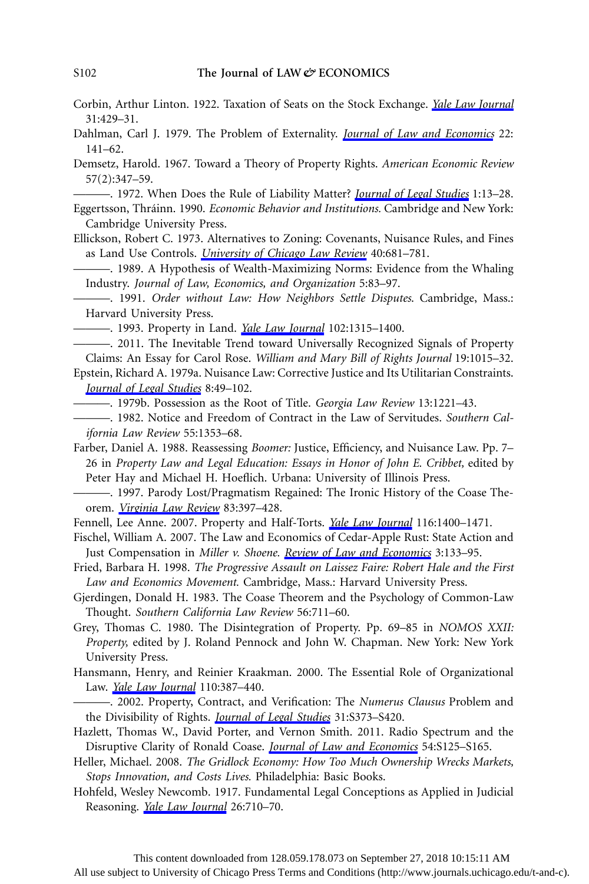- Corbin, Arthur Linton. 1922. Taxation of Seats on the Stock Exchange. *[Yale Law Journal](https://www.journals.uchicago.edu/action/showLinks?doi=10.1086%2F661946&crossref=10.2307%2F787889&citationId=p_58)* 31:429–31.
- Dahlman, Carl J. 1979. The Problem of Externality. *[Journal of Law and Economics](https://www.journals.uchicago.edu/action/showLinks?doi=10.1086%2F661946&system=10.1086%2F466936&citationId=p_59)* 22: 141–62.
- Demsetz, Harold. 1967. Toward a Theory of Property Rights. *American Economic Review* 57(2):347–59.
	- ———. 1972. When Does the Rule of Liability Matter? *[Journal of Legal Studies](https://www.journals.uchicago.edu/action/showLinks?doi=10.1086%2F661946&system=10.1086%2F467477&citationId=p_61)* 1:13–28.

Eggertsson, Thra´inn. 1990. *Economic Behavior and Institutions.* Cambridge and New York: Cambridge University Press.

- Ellickson, Robert C. 1973. Alternatives to Zoning: Covenants, Nuisance Rules, and Fines as Land Use Controls. *[University of Chicago Law Review](https://www.journals.uchicago.edu/action/showLinks?doi=10.1086%2F661946&crossref=10.2307%2F1599220&citationId=p_63)* 40:681–781.
	- ———. 1989. A Hypothesis of Wealth-Maximizing Norms: Evidence from the Whaling Industry. *Journal of Law, Economics, and Organization* 5:83–97.
- ———. 1991. *Order without Law: How Neighbors Settle Disputes*. Cambridge, Mass.: Harvard University Press.
- ———. 1993. Property in Land. *[Yale Law Journal](https://www.journals.uchicago.edu/action/showLinks?doi=10.1086%2F661946&crossref=10.2307%2F796972&citationId=p_66)* 102:1315–1400.

———. 2011. The Inevitable Trend toward Universally Recognized Signals of Property Claims: An Essay for Carol Rose. *William and Mary Bill of Rights Journal* 19:1015–32.

- Epstein, Richard A. 1979a. Nuisance Law: Corrective Justice and Its Utilitarian Constraints. *[Journal of Legal Studies](https://www.journals.uchicago.edu/action/showLinks?doi=10.1086%2F661946&system=10.1086%2F467602&citationId=p_68)* 8:49–102.
	- ———. 1979b. Possession as the Root of Title. *Georgia Law Review* 13:1221–43.
- ———. 1982. Notice and Freedom of Contract in the Law of Servitudes. *Southern California Law Review* 55:1353–68.
- Farber, Daniel A. 1988. Reassessing *Boomer:* Justice, Efficiency, and Nuisance Law. Pp. 7– 26 in *Property Law and Legal Education: Essays in Honor of John E. Cribbet,* edited by Peter Hay and Michael H. Hoeflich. Urbana: University of Illinois Press.
- ———. 1997. Parody Lost/Pragmatism Regained: The Ironic History of the Coase Theorem. *[Virginia Law Review](https://www.journals.uchicago.edu/action/showLinks?doi=10.1086%2F661946&crossref=10.2307%2F1073781&citationId=p_72)* 83:397–428.
- Fennell, Lee Anne. 2007. Property and Half-Torts. *[Yale Law Journal](https://www.journals.uchicago.edu/action/showLinks?doi=10.1086%2F661946&crossref=10.2307%2F20455765&citationId=p_73)* 116:1400–1471.
- Fischel, William A. 2007. The Law and Economics of Cedar-Apple Rust: State Action and Just Compensation in *Miller v. Shoene. [Review of Law and Economics](https://www.journals.uchicago.edu/action/showLinks?doi=10.1086%2F661946&crossref=10.2202%2F1555-5879.1096&citationId=p_74)* 3:133–95.
- Fried, Barbara H. 1998. *The Progressive Assault on Laissez Faire: Robert Hale and the First Law and Economics Movement.* Cambridge, Mass.: Harvard University Press.
- Gjerdingen, Donald H. 1983. The Coase Theorem and the Psychology of Common-Law Thought. *Southern California Law Review* 56:711–60.
- Grey, Thomas C. 1980. The Disintegration of Property. Pp. 69–85 in *NOMOS XXII: Property,* edited by J. Roland Pennock and John W. Chapman. New York: New York University Press.
- Hansmann, Henry, and Reinier Kraakman. 2000. The Essential Role of Organizational Law. *[Yale Law Journal](https://www.journals.uchicago.edu/action/showLinks?doi=10.1086%2F661946&crossref=10.2307%2F797521&citationId=p_78)* 110:387–440.
- ———. 2002. Property, Contract, and Verification: The *Numerus Clausus* Problem and the Divisibility of Rights. *[Journal of Legal Studies](https://www.journals.uchicago.edu/action/showLinks?doi=10.1086%2F661946&system=10.1086%2F344530&citationId=p_79)* 31:S373–S420.
- Hazlett, Thomas W., David Porter, and Vernon Smith. 2011. Radio Spectrum and the Disruptive Clarity of Ronald Coase. *[Journal of Law and Economics](https://www.journals.uchicago.edu/action/showLinks?doi=10.1086%2F661946&system-d=10.1086%2F662992&citationId=p_80)* 54:S125–S165.
- Heller, Michael. 2008. *The Gridlock Economy: How Too Much Ownership Wrecks Markets, Stops Innovation, and Costs Lives.* Philadelphia: Basic Books.
- Hohfeld, Wesley Newcomb. 1917. Fundamental Legal Conceptions as Applied in Judicial Reasoning. *[Yale Law Journal](https://www.journals.uchicago.edu/action/showLinks?doi=10.1086%2F661946&crossref=10.2307%2F786270&citationId=p_82)* 26:710–70.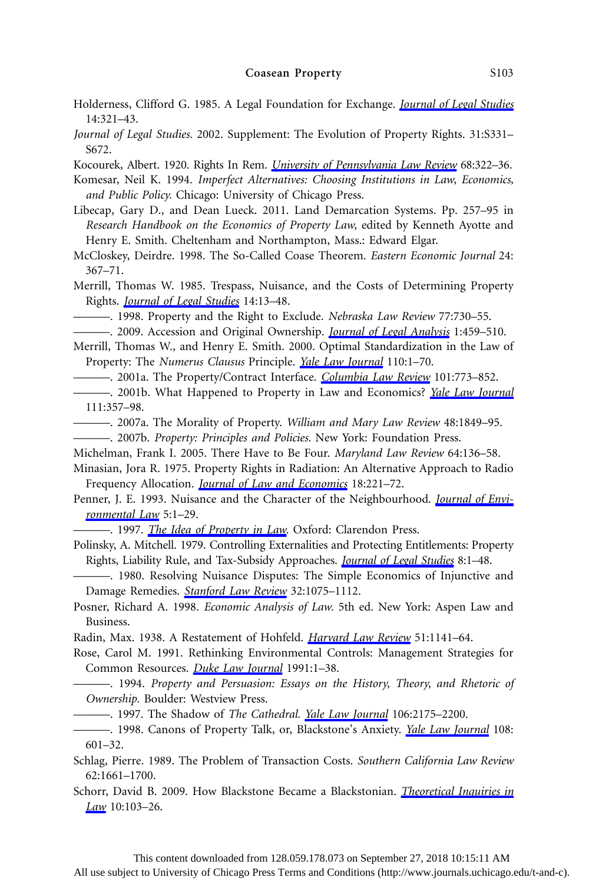- Holderness, Clifford G. 1985. A Legal Foundation for Exchange. *[Journal of Legal Studies](https://www.journals.uchicago.edu/action/showLinks?doi=10.1086%2F661946&system=10.1086%2F467775&citationId=p_83)* 14:321–43.
- *Journal of Legal Studies.* 2002. Supplement: The Evolution of Property Rights. 31:S331– S672.
- Kocourek, Albert. 1920. Rights In Rem. *[University of Pennsylvania Law Review](https://www.journals.uchicago.edu/action/showLinks?doi=10.1086%2F661946&crossref=10.2307%2F3694195&citationId=p_85)* 68:322–36.
- Komesar, Neil K. 1994. *Imperfect Alternatives: Choosing Institutions in Law, Economics, and Public Policy.* Chicago: University of Chicago Press.
- Libecap, Gary D., and Dean Lueck. 2011. Land Demarcation Systems. Pp. 257–95 in *Research Handbook on the Economics of Property Law,* edited by Kenneth Ayotte and Henry E. Smith. Cheltenham and Northampton, Mass.: Edward Elgar.
- McCloskey, Deirdre. 1998. The So-Called Coase Theorem. *Eastern Economic Journal* 24: 367–71.
- Merrill, Thomas W. 1985. Trespass, Nuisance, and the Costs of Determining Property Rights. *[Journal of Legal Studies](https://www.journals.uchicago.edu/action/showLinks?doi=10.1086%2F661946&system=10.1086%2F467764&citationId=p_89)* 14:13–48.

———. 1998. Property and the Right to Exclude. *Nebraska Law Review* 77:730–55.

- ———. 2009. Accession and Original Ownership. *[Journal of Legal Analysis](https://www.journals.uchicago.edu/action/showLinks?doi=10.1086%2F661946&crossref=10.1093%2Fjla%2F1.2.459&citationId=p_91)* 1:459–510.
- Merrill, Thomas W., and Henry E. Smith. 2000. Optimal Standardization in the Law of Property: The *Numerus Clausus* Principle. *[Yale Law Journal](https://www.journals.uchicago.edu/action/showLinks?doi=10.1086%2F661946&crossref=10.2307%2F797586&citationId=p_92)* 110:1–70.
	- ———. 2001a. The Property/Contract Interface. *[Columbia Law Review](https://www.journals.uchicago.edu/action/showLinks?doi=10.1086%2F661946&crossref=10.2307%2F1123685&citationId=p_93)* 101:773–852.
- ———. 2001b. What Happened to Property in Law and Economics? *[Yale Law Journal](https://www.journals.uchicago.edu/action/showLinks?doi=10.1086%2F661946&crossref=10.2307%2F797592&citationId=p_94)* 111:357–98.
- ———. 2007a. The Morality of Property. *William and Mary Law Review* 48:1849–95.
- ———. 2007b. *Property: Principles and Policies.* New York: Foundation Press.
- Michelman, Frank I. 2005. There Have to Be Four. *Maryland Law Review* 64:136–58.
- Minasian, Jora R. 1975. Property Rights in Radiation: An Alternative Approach to Radio Frequency Allocation. *[Journal of Law and Economics](https://www.journals.uchicago.edu/action/showLinks?doi=10.1086%2F661946&system=10.1086%2F466811&citationId=p_98)* 18:221–72.
- Penner, J. E. 1993. Nuisance and the Character of the Neighbourhood. *[Journal of Envi](https://www.journals.uchicago.edu/action/showLinks?doi=10.1086%2F661946&crossref=10.1093%2Fjel%2F5.1.1&citationId=p_99)[ronmental Law](https://www.journals.uchicago.edu/action/showLinks?doi=10.1086%2F661946&crossref=10.1093%2Fjel%2F5.1.1&citationId=p_99)* 5:1–29.
	- ———. 1997. *[The Idea of Property in Law.](https://www.journals.uchicago.edu/action/showLinks?doi=10.1086%2F661946&crossref=10.1093%2Facprof%3Aoso%2F9780198299264.001.0001&citationId=p_100)* Oxford: Clarendon Press.
- Polinsky, A. Mitchell. 1979. Controlling Externalities and Protecting Entitlements: Property Rights, Liability Rule, and Tax-Subsidy Approaches. *[Journal of Legal Studies](https://www.journals.uchicago.edu/action/showLinks?doi=10.1086%2F661946&system=10.1086%2F467601&citationId=p_101)* 8:1–48.
- ———. 1980. Resolving Nuisance Disputes: The Simple Economics of Injunctive and Damage Remedies. *[Stanford Law Review](https://www.journals.uchicago.edu/action/showLinks?doi=10.1086%2F661946&crossref=10.2307%2F1228549&citationId=p_102)* 32:1075–1112.
- Posner, Richard A. 1998. *Economic Analysis of Law.* 5th ed. New York: Aspen Law and Business.
- Radin, Max. 1938. A Restatement of Hohfeld. *[Harvard Law Review](https://www.journals.uchicago.edu/action/showLinks?doi=10.1086%2F661946&crossref=10.2307%2F1334102&citationId=p_104)* 51:1141–64.
- Rose, Carol M. 1991. Rethinking Environmental Controls: Management Strategies for Common Resources. *[Duke Law Journal](https://www.journals.uchicago.edu/action/showLinks?doi=10.1086%2F661946&crossref=10.2307%2F1372810&citationId=p_105)* 1991:1–38.
- ———. 1994. *Property and Persuasion: Essays on the History, Theory, and Rhetoric of Ownership.* Boulder: Westview Press.
- ———. 1997. The Shadow of *The Cathedral. [Yale Law Journal](https://www.journals.uchicago.edu/action/showLinks?doi=10.1086%2F661946&crossref=10.2307%2F797165&citationId=p_107)* 106:2175–2200.
- ———. 1998. Canons of Property Talk, or, Blackstone's Anxiety. *[Yale Law Journal](https://www.journals.uchicago.edu/action/showLinks?doi=10.1086%2F661946&crossref=10.2307%2F797498&citationId=p_108)* 108: 601–32.
- Schlag, Pierre. 1989. The Problem of Transaction Costs. *Southern California Law Review* 62:1661–1700.
- Schorr, David B. 2009. How Blackstone Became a Blackstonian. *[Theoretical Inquiries in](https://www.journals.uchicago.edu/action/showLinks?doi=10.1086%2F661946&crossref=10.1515%2F1565-3404.1011&citationId=p_110) [Law](https://www.journals.uchicago.edu/action/showLinks?doi=10.1086%2F661946&crossref=10.1515%2F1565-3404.1011&citationId=p_110)* 10:103–26.